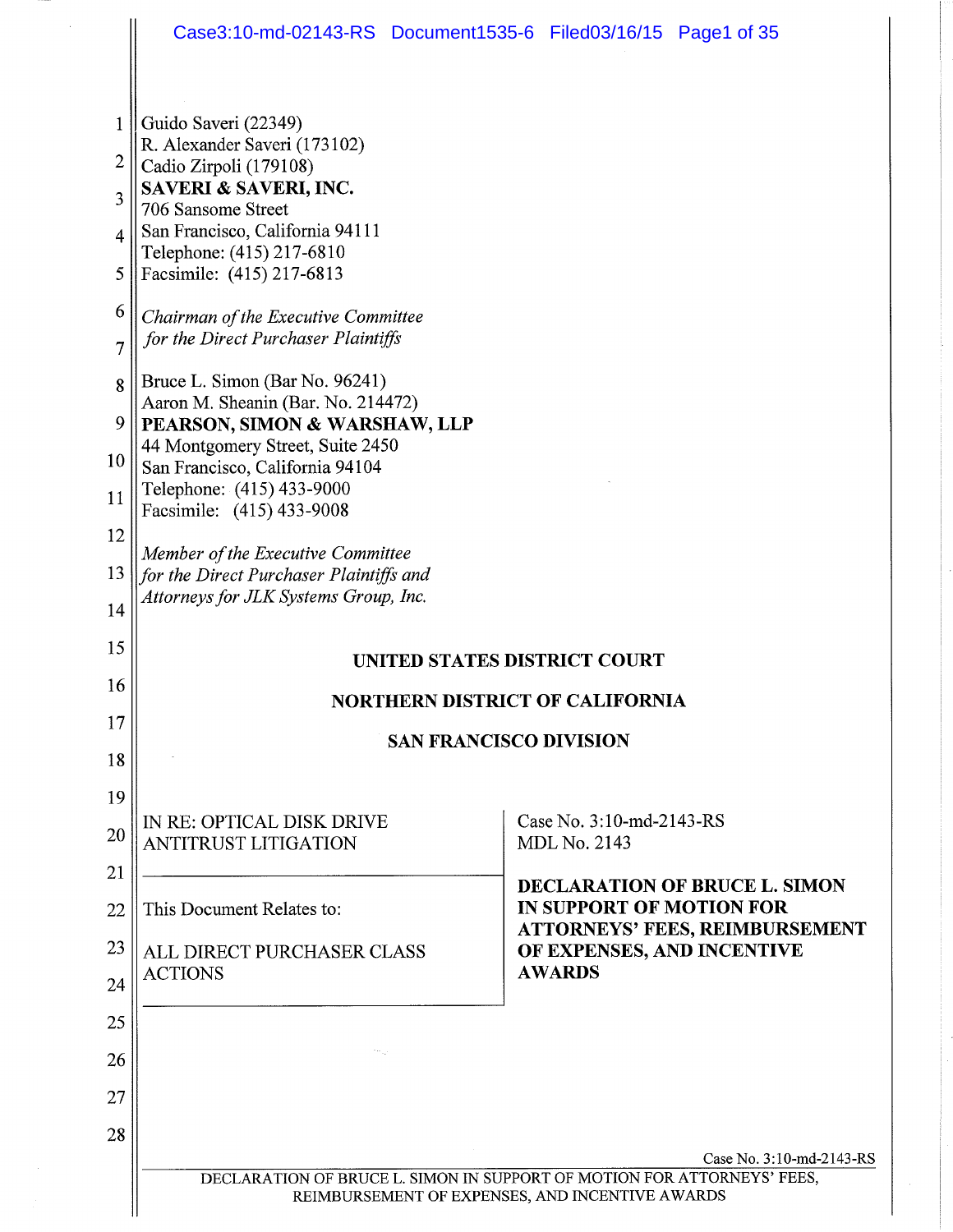$\hat{\mathcal{L}}$ 

 $\frac{1}{2}$ 

 $\parallel$ 

| $\mathbf{1}$ | Guido Saveri (22349)<br>R. Alexander Saveri (173102)                         |                                                                                                     |  |  |
|--------------|------------------------------------------------------------------------------|-----------------------------------------------------------------------------------------------------|--|--|
| 2            | Cadio Zirpoli (179108)                                                       |                                                                                                     |  |  |
| 3            | SAVERI & SAVERI, INC.<br>706 Sansome Street                                  |                                                                                                     |  |  |
| 4            | San Francisco, California 94111<br>Telephone: (415) 217-6810                 |                                                                                                     |  |  |
| 5            | Facsimile: (415) 217-6813                                                    |                                                                                                     |  |  |
| 6            | Chairman of the Executive Committee                                          |                                                                                                     |  |  |
| 7            | for the Direct Purchaser Plaintiffs                                          |                                                                                                     |  |  |
| 8            | Bruce L. Simon (Bar No. 96241)<br>Aaron M. Sheanin (Bar. No. 214472)         |                                                                                                     |  |  |
| 9            | PEARSON, SIMON & WARSHAW, LLP                                                |                                                                                                     |  |  |
| 10           | 44 Montgomery Street, Suite 2450<br>San Francisco, California 94104          |                                                                                                     |  |  |
| 11           | Telephone: (415) 433-9000<br>Facsimile: (415) 433-9008                       |                                                                                                     |  |  |
| 12           |                                                                              |                                                                                                     |  |  |
| 13           | Member of the Executive Committee<br>for the Direct Purchaser Plaintiffs and |                                                                                                     |  |  |
| 14           | Attorneys for JLK Systems Group, Inc.                                        |                                                                                                     |  |  |
| 15           |                                                                              | UNITED STATES DISTRICT COURT                                                                        |  |  |
| 16           | <b>NORTHERN DISTRICT OF CALIFORNIA</b>                                       |                                                                                                     |  |  |
| 17           |                                                                              |                                                                                                     |  |  |
| 18           | <b>SAN FRANCISCO DIVISION</b>                                                |                                                                                                     |  |  |
| 19           |                                                                              |                                                                                                     |  |  |
| 20           | IN RE: OPTICAL DISK DRIVE<br><b>ANTITRUST LITIGATION</b>                     | Case No. 3:10-md-2143-RS<br><b>MDL No. 2143</b>                                                     |  |  |
| 21           |                                                                              | <b>DECLARATION OF BRUCE L. SIMON</b>                                                                |  |  |
| 22           | This Document Relates to:                                                    | <b>IN SUPPORT OF MOTION FOR</b><br><b>ATTORNEYS' FEES, REIMBURSEMENT</b>                            |  |  |
| 23           | ALL DIRECT PURCHASER CLASS<br><b>ACTIONS</b>                                 | OF EXPENSES, AND INCENTIVE<br><b>AWARDS</b>                                                         |  |  |
| 24           |                                                                              |                                                                                                     |  |  |
| 25           |                                                                              |                                                                                                     |  |  |
| 26           |                                                                              |                                                                                                     |  |  |
| 27           |                                                                              |                                                                                                     |  |  |
| 28           |                                                                              |                                                                                                     |  |  |
|              |                                                                              | Case No. 3:10-md-2143-RS<br>DECLARATION OF BRUCE L. SIMON IN SUPPORT OF MOTION FOR ATTORNEYS' FEES, |  |  |
|              |                                                                              | REIMBURSEMENT OF EXPENSES, AND INCENTIVE AWARDS                                                     |  |  |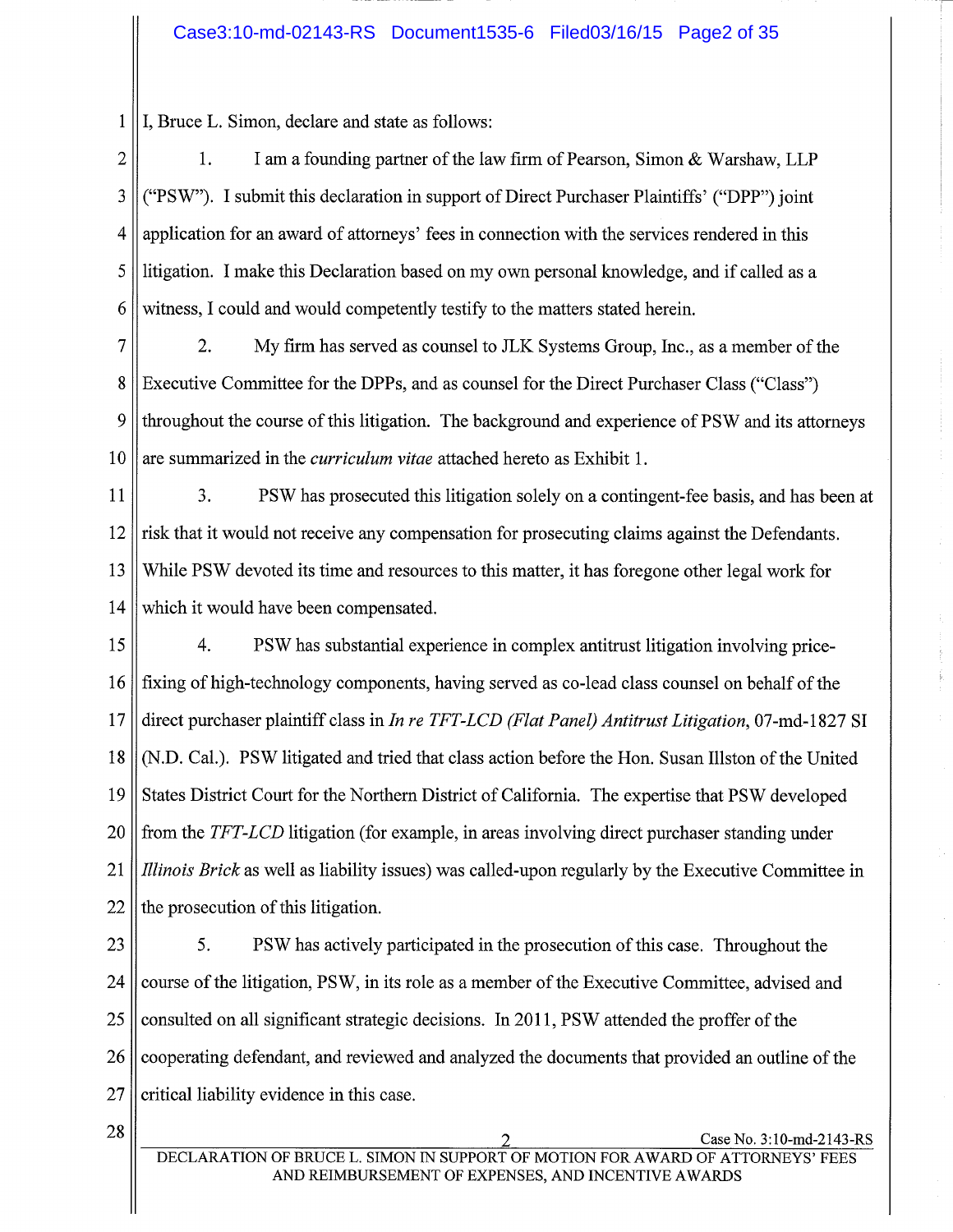I, Bruce L. Simon, declare and state as follows:  $\mathbf{1}$ 

 $\overline{2}$ I am a founding partner of the law firm of Pearson, Simon & Warshaw, LLP  $\mathbf{1}$ . ("PSW"). I submit this declaration in support of Direct Purchaser Plaintiffs' ("DPP") joint 3  $\overline{4}$ application for an award of attorneys' fees in connection with the services rendered in this 5 litigation. I make this Declaration based on my own personal knowledge, and if called as a 6 witness, I could and would competently testify to the matters stated herein.

 $\overline{7}$  $\overline{2}$ . My firm has served as counsel to JLK Systems Group, Inc., as a member of the 8 Executive Committee for the DPPs, and as counsel for the Direct Purchaser Class ("Class") 9 throughout the course of this litigation. The background and experience of PSW and its attorneys 10 are summarized in the *curriculum vitae* attached hereto as Exhibit 1.

11 3. PSW has prosecuted this litigation solely on a contingent-fee basis, and has been at 12 risk that it would not receive any compensation for prosecuting claims against the Defendants. 13 While PSW devoted its time and resources to this matter, it has foregone other legal work for 14 which it would have been compensated.

15  $\overline{4}$ . PSW has substantial experience in complex antitrust litigation involving price-16 fixing of high-technology components, having served as co-lead class counsel on behalf of the  $17$ direct purchaser plaintiff class in *In re TFT-LCD (Flat Panel) Antitrust Litigation*, 07-md-1827 SI (N.D. Cal.). PSW litigated and tried that class action before the Hon. Susan Illston of the United 18 19 States District Court for the Northern District of California. The expertise that PSW developed 20 from the TFT-LCD litigation (for example, in areas involving direct purchaser standing under 21 *Illinois Brick* as well as liability issues) was called-upon regularly by the Executive Committee in 22 the prosecution of this litigation.

23 5. PSW has actively participated in the prosecution of this case. Throughout the 24 course of the litigation, PSW, in its role as a member of the Executive Committee, advised and 25 consulted on all significant strategic decisions. In 2011, PSW attended the proffer of the 26 cooperating defendant, and reviewed and analyzed the documents that provided an outline of the 27 critical liability evidence in this case.

28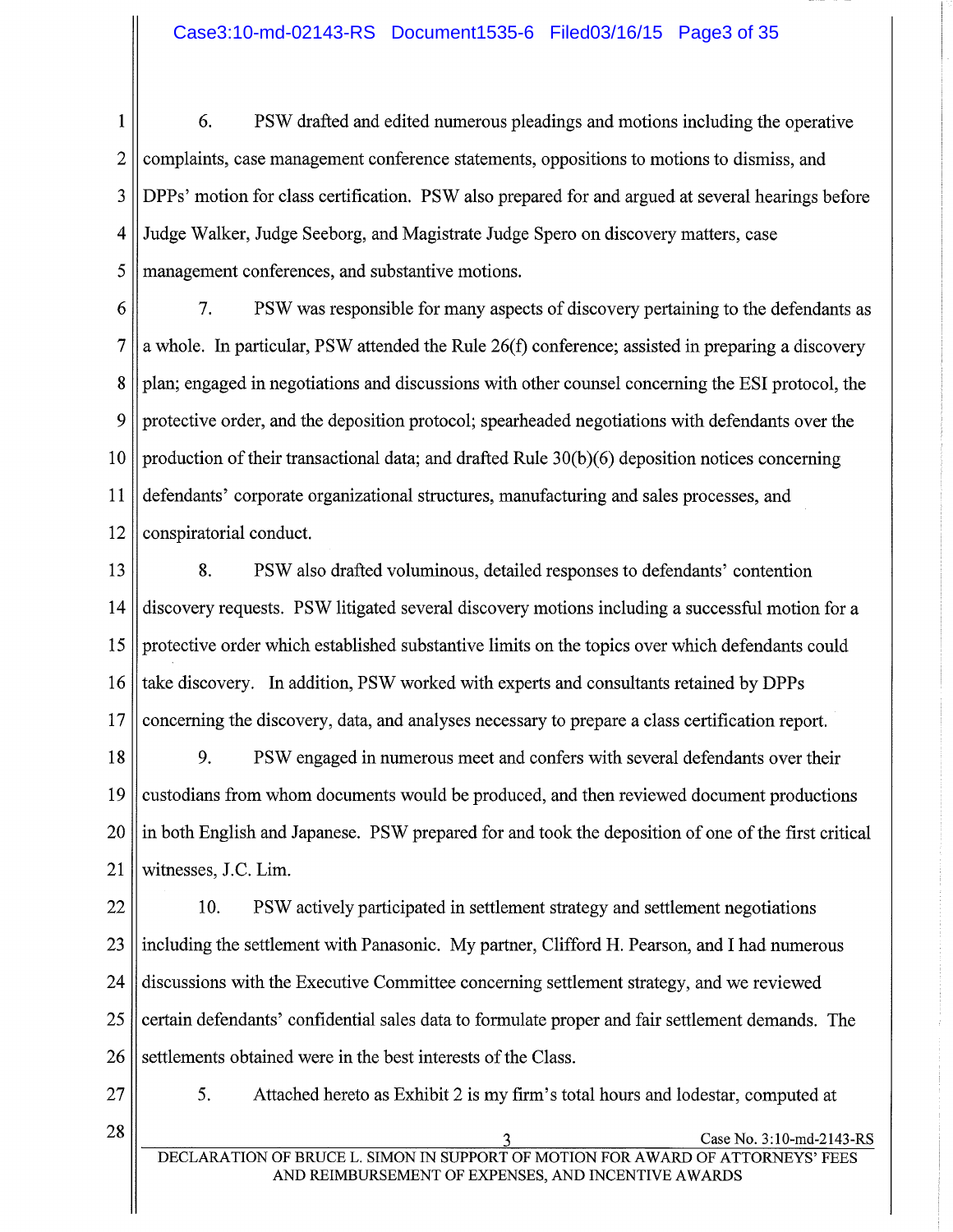$\mathbf{1}$ 6. PSW drafted and edited numerous pleadings and motions including the operative  $\overline{2}$ complaints, case management conference statements, oppositions to motions to dismiss, and 3 DPPs' motion for class certification. PSW also prepared for and argued at several hearings before  $\overline{4}$ Judge Walker, Judge Seeborg, and Magistrate Judge Spero on discovery matters, case 5 management conferences, and substantive motions.

 $7<sup>1</sup>$ 6 PSW was responsible for many aspects of discovery pertaining to the defendants as 7 a whole. In particular, PSW attended the Rule  $26(f)$  conference; assisted in preparing a discovery 8 plan; engaged in negotiations and discussions with other counsel concerning the ESI protocol, the 9 protective order, and the deposition protocol; spearheaded negotiations with defendants over the  $10$ production of their transactional data; and drafted Rule  $30(b)(6)$  deposition notices concerning 11 defendants' corporate organizational structures, manufacturing and sales processes, and 12 conspiratorial conduct.

8. 13 PSW also drafted voluminous, detailed responses to defendants' contention 14 discovery requests. PSW litigated several discovery motions including a successful motion for a 15 protective order which established substantive limits on the topics over which defendants could 16 take discovery. In addition, PSW worked with experts and consultants retained by DPPs 17 concerning the discovery, data, and analyses necessary to prepare a class certification report.

9. 18 PSW engaged in numerous meet and confers with several defendants over their 19 custodians from whom documents would be produced, and then reviewed document productions 20 in both English and Japanese. PSW prepared for and took the deposition of one of the first critical 21 witnesses, J.C. Lim.

22 10. PSW actively participated in settlement strategy and settlement negotiations 23 including the settlement with Panasonic. My partner, Clifford H. Pearson, and I had numerous 24 discussions with the Executive Committee concerning settlement strategy, and we reviewed 25 certain defendants' confidential sales data to formulate proper and fair settlement demands. The 26 settlements obtained were in the best interests of the Class.

27

5. Attached hereto as Exhibit 2 is my firm's total hours and lodestar, computed at

28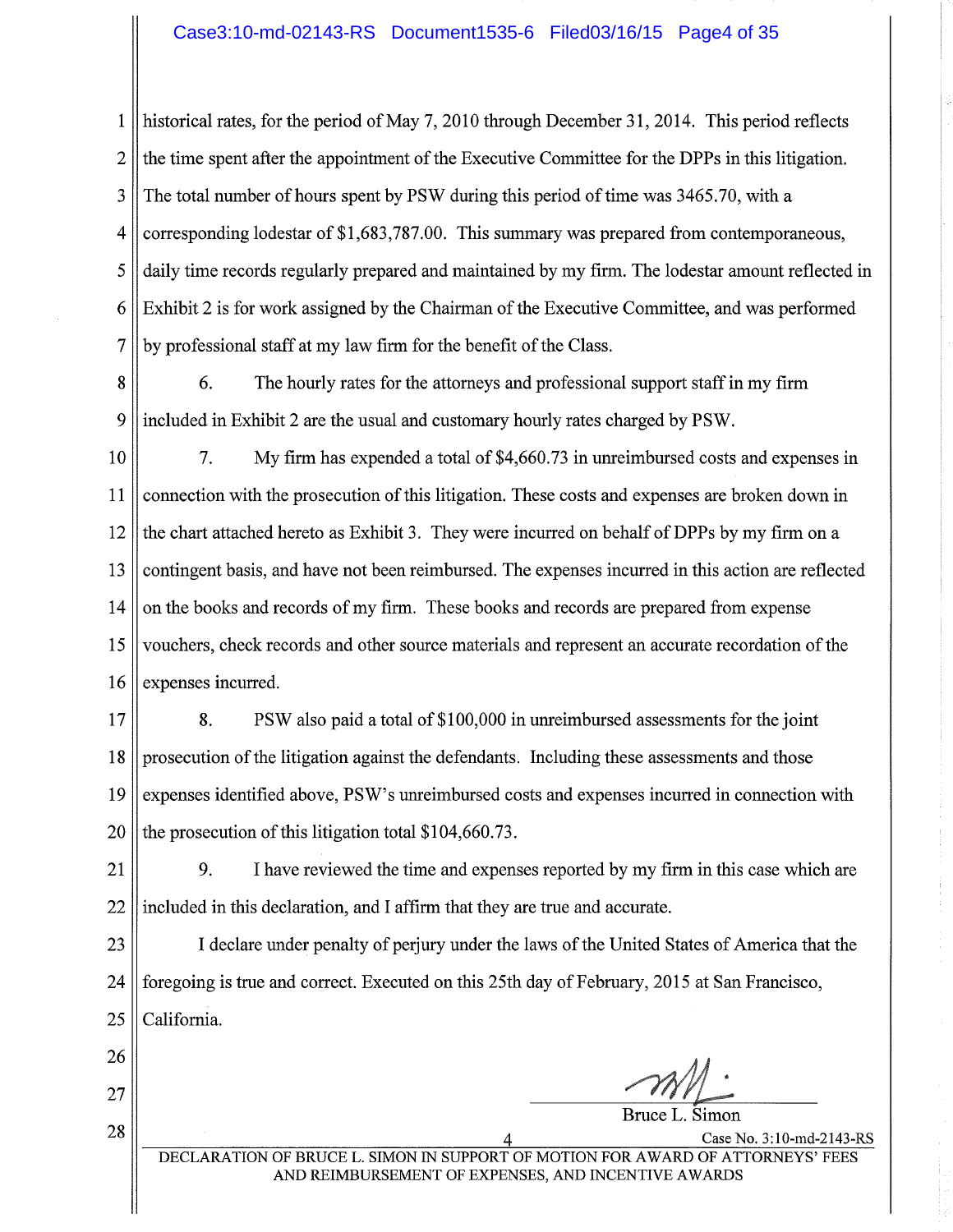$\mathbf{1}$ historical rates, for the period of May 7, 2010 through December 31, 2014. This period reflects  $\overline{2}$ the time spent after the appointment of the Executive Committee for the DPPs in this litigation. 3 The total number of hours spent by PSW during this period of time was 3465.70, with a  $\overline{4}$ corresponding lodestar of \$1,683,787.00. This summary was prepared from contemporaneous, 5 daily time records regularly prepared and maintained by my firm. The lodestar amount reflected in Exhibit 2 is for work assigned by the Chairman of the Executive Committee, and was performed 6 7 by professional staff at my law firm for the benefit of the Class.

8 6. The hourly rates for the attorneys and professional support staff in my firm 9 included in Exhibit 2 are the usual and customary hourly rates charged by PSW.

 $10$  $7<sub>1</sub>$ My firm has expended a total of \$4,660.73 in unreimbursed costs and expenses in 11 connection with the prosecution of this litigation. These costs and expenses are broken down in 12 the chart attached hereto as Exhibit 3. They were incurred on behalf of DPPs by my firm on a contingent basis, and have not been reimbursed. The expenses incurred in this action are reflected 13 14 on the books and records of my firm. These books and records are prepared from expense 15 vouchers, check records and other source materials and represent an accurate recordation of the 16 expenses incurred.

 $17$ 8. PSW also paid a total of \$100,000 in unreimbursed assessments for the joint 18 prosecution of the litigation against the defendants. Including these assessments and those 19 expenses identified above, PSW's unreimbursed costs and expenses incurred in connection with the prosecution of this litigation total \$104,660.73. 20

9.  $21$ I have reviewed the time and expenses reported by my firm in this case which are 22 included in this declaration, and I affirm that they are true and accurate.

23 I declare under penalty of perjury under the laws of the United States of America that the 24 foregoing is true and correct. Executed on this 25th day of February, 2015 at San Francisco, California. 25

26

27

28

Bruce L. Simon

Case No. 3:10-md-2143-RS

DECLARATION OF BRUCE L. SIMON IN SUPPORT OF MOTION FOR AWARD OF ATTORNEYS' FEES AND REIMBURSEMENT OF EXPENSES, AND INCENTIVE AWARDS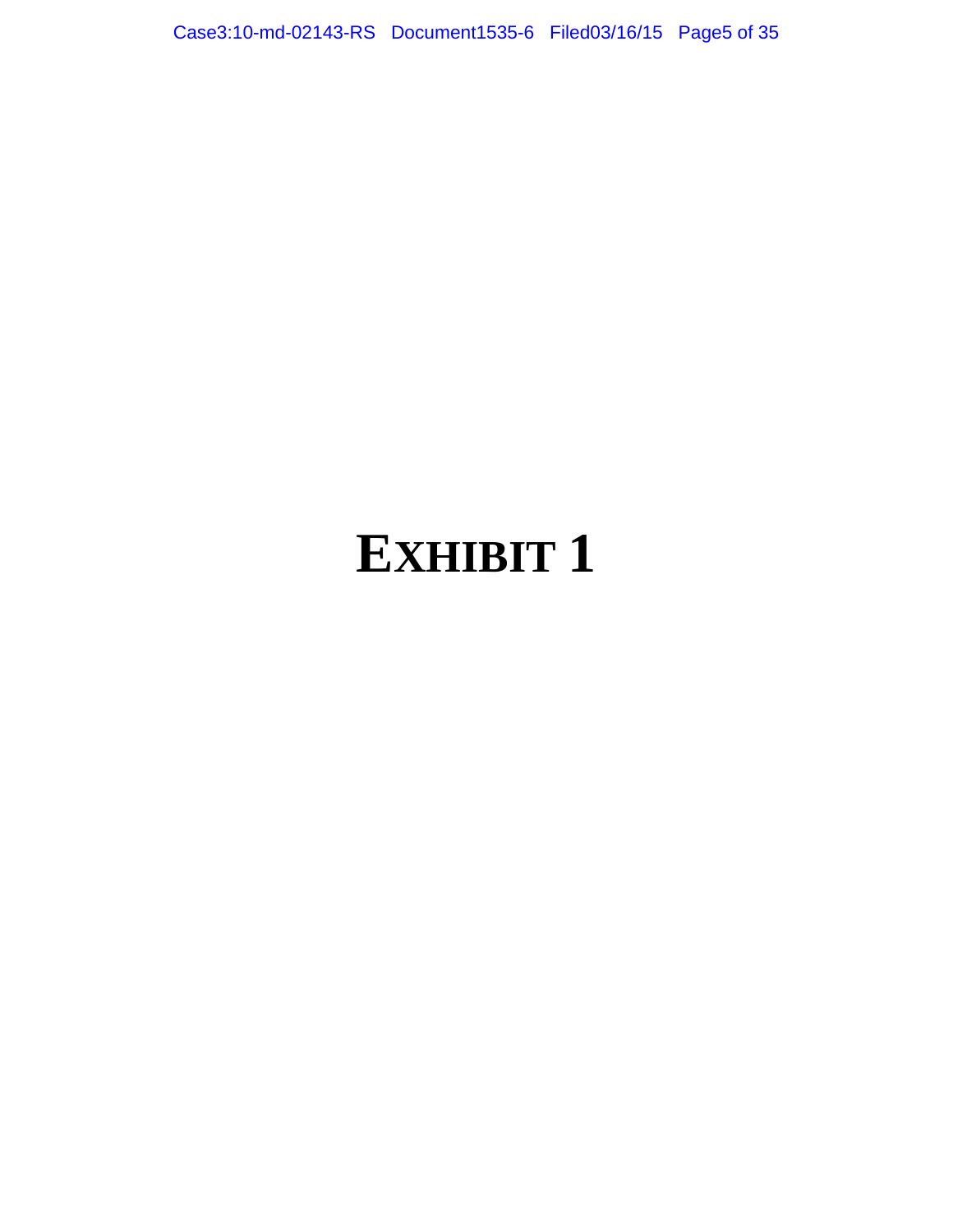Case3:10-md-02143-RS Document1535-6 Filed03/16/15 Page5 of 35

### **EXHIBIT 1**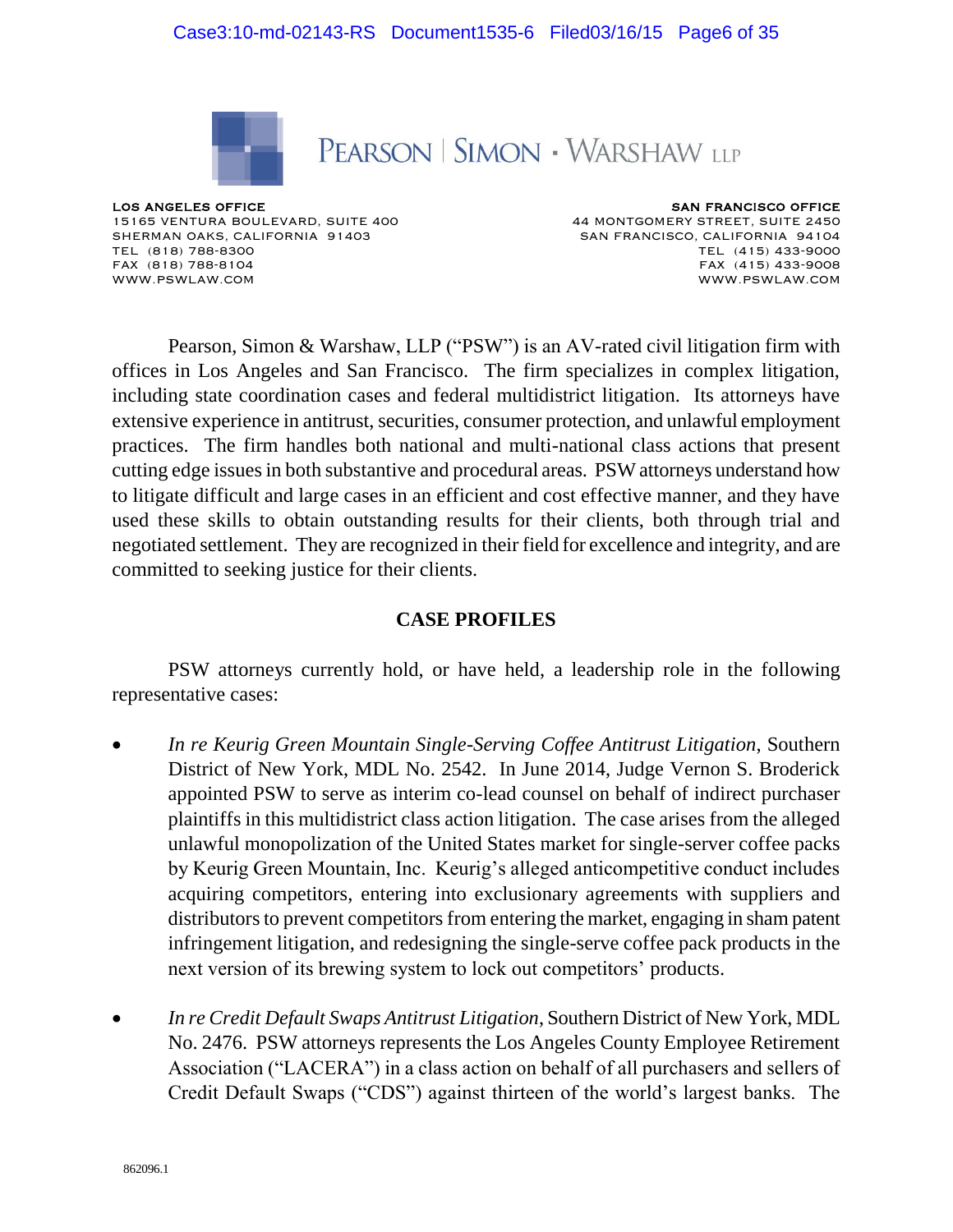

### PEARSON | SIMON · WARSHAW LLP

LOS ANGELES OFFICE 15165 VENTURA BOULEVARD, SUITE 400 SHERMAN OAKS, CALIFORNIA 91403 TEL (818) 788-8300 FAX (818) 788-8104 [WWW.PSWLAW.COM](http://www.psswplaw.com/)

SAN FRANCISCO OFFICE 44 MONTGOMERY STREET, SUITE 2450 SAN FRANCISCO, CALIFORNIA 94104 TEL (415) 433-9000 FAX (415) 433-9008 [WWW.PSWLAW.COM](http://www.psswplaw.com/)

Pearson, Simon & Warshaw, LLP ("PSW") is an AV-rated civil litigation firm with offices in Los Angeles and San Francisco. The firm specializes in complex litigation, including state coordination cases and federal multidistrict litigation. Its attorneys have extensive experience in antitrust, securities, consumer protection, and unlawful employment practices. The firm handles both national and multi-national class actions that present cutting edge issues in both substantive and procedural areas. PSW attorneys understand how to litigate difficult and large cases in an efficient and cost effective manner, and they have used these skills to obtain outstanding results for their clients, both through trial and negotiated settlement. They are recognized in their field for excellence and integrity, and are committed to seeking justice for their clients.

#### **CASE PROFILES**

PSW attorneys currently hold, or have held, a leadership role in the following representative cases:

- *In re Keurig Green Mountain Single-Serving Coffee Antitrust Litigation*, Southern District of New York, MDL No. 2542. In June 2014, Judge Vernon S. Broderick appointed PSW to serve as interim co-lead counsel on behalf of indirect purchaser plaintiffs in this multidistrict class action litigation. The case arises from the alleged unlawful monopolization of the United States market for single-server coffee packs by Keurig Green Mountain, Inc. Keurig's alleged anticompetitive conduct includes acquiring competitors, entering into exclusionary agreements with suppliers and distributors to prevent competitors from entering the market, engaging in sham patent infringement litigation, and redesigning the single-serve coffee pack products in the next version of its brewing system to lock out competitors' products.
- *In re Credit Default Swaps Antitrust Litigation*, Southern District of New York, MDL No. 2476. PSW attorneys represents the Los Angeles County Employee Retirement Association ("LACERA") in a class action on behalf of all purchasers and sellers of Credit Default Swaps ("CDS") against thirteen of the world's largest banks. The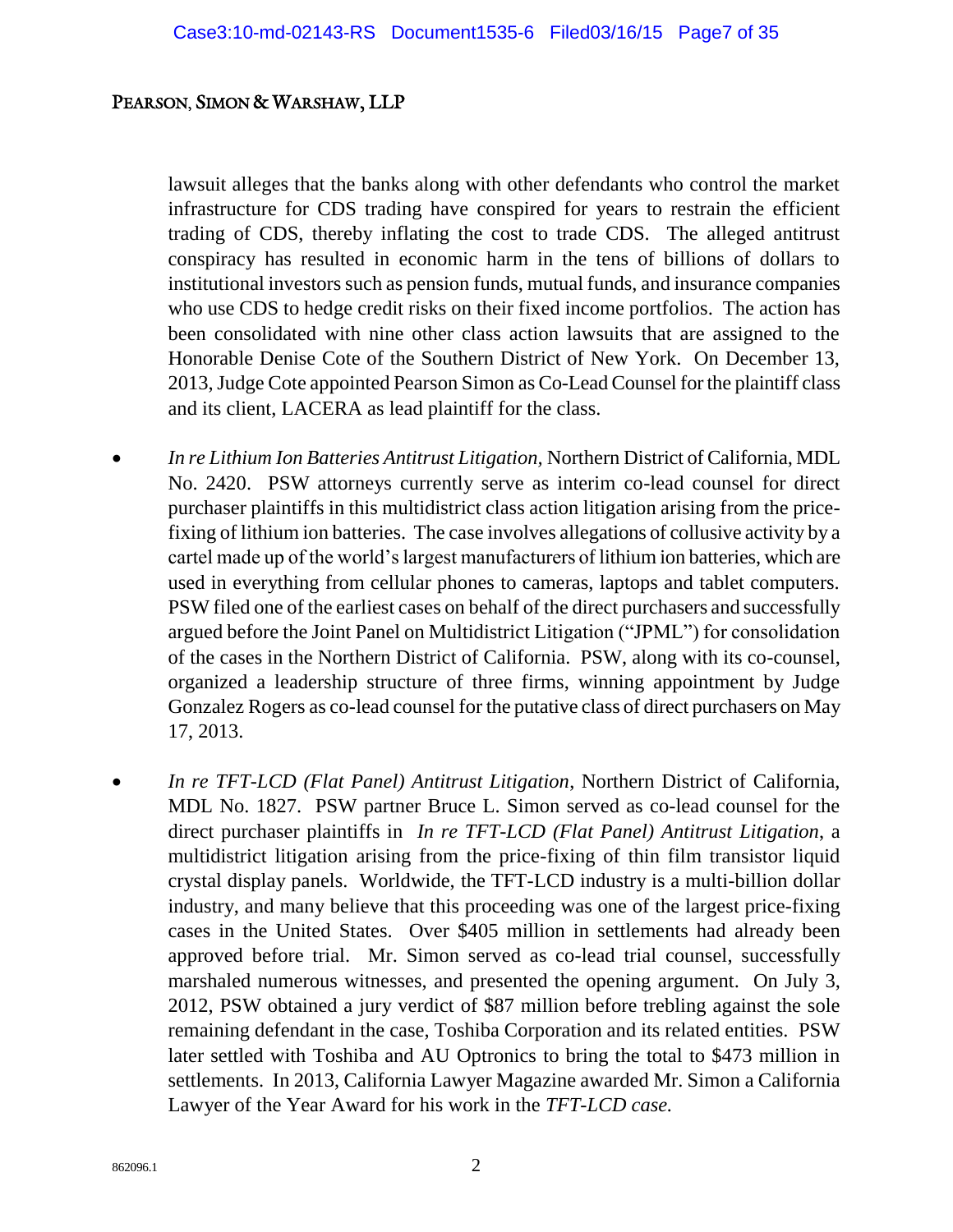lawsuit alleges that the banks along with other defendants who control the market infrastructure for CDS trading have conspired for years to restrain the efficient trading of CDS, thereby inflating the cost to trade CDS. The alleged antitrust conspiracy has resulted in economic harm in the tens of billions of dollars to institutional investors such as pension funds, mutual funds, and insurance companies who use CDS to hedge credit risks on their fixed income portfolios. The action has been consolidated with nine other class action lawsuits that are assigned to the Honorable Denise Cote of the Southern District of New York. On December 13, 2013, Judge Cote appointed Pearson Simon as Co-Lead Counsel for the plaintiff class and its client, LACERA as lead plaintiff for the class.

- *In re Lithium Ion Batteries Antitrust Litigation,* Northern District of California, MDL No. 2420. PSW attorneys currently serve as interim co-lead counsel for direct purchaser plaintiffs in this multidistrict class action litigation arising from the pricefixing of lithium ion batteries. The case involves allegations of collusive activity by a cartel made up of the world's largest manufacturers of lithium ion batteries, which are used in everything from cellular phones to cameras, laptops and tablet computers. PSW filed one of the earliest cases on behalf of the direct purchasers and successfully argued before the Joint Panel on Multidistrict Litigation ("JPML") for consolidation of the cases in the Northern District of California. PSW, along with its co-counsel, organized a leadership structure of three firms, winning appointment by Judge Gonzalez Rogers as co-lead counsel for the putative class of direct purchasers on May 17, 2013.
- *In re TFT-LCD (Flat Panel) Antitrust Litigation*, Northern District of California, MDL No. 1827. PSW partner Bruce L. Simon served as co-lead counsel for the direct purchaser plaintiffs in *In re TFT-LCD (Flat Panel) Antitrust Litigation*, a multidistrict litigation arising from the price-fixing of thin film transistor liquid crystal display panels. Worldwide, the TFT-LCD industry is a multi-billion dollar industry, and many believe that this proceeding was one of the largest price-fixing cases in the United States. Over \$405 million in settlements had already been approved before trial. Mr. Simon served as co-lead trial counsel, successfully marshaled numerous witnesses, and presented the opening argument. On July 3, 2012, PSW obtained a jury verdict of \$87 million before trebling against the sole remaining defendant in the case, Toshiba Corporation and its related entities. PSW later settled with Toshiba and AU Optronics to bring the total to \$473 million in settlements. In 2013, California Lawyer Magazine awarded Mr. Simon a California Lawyer of the Year Award for his work in the *TFT-LCD case.*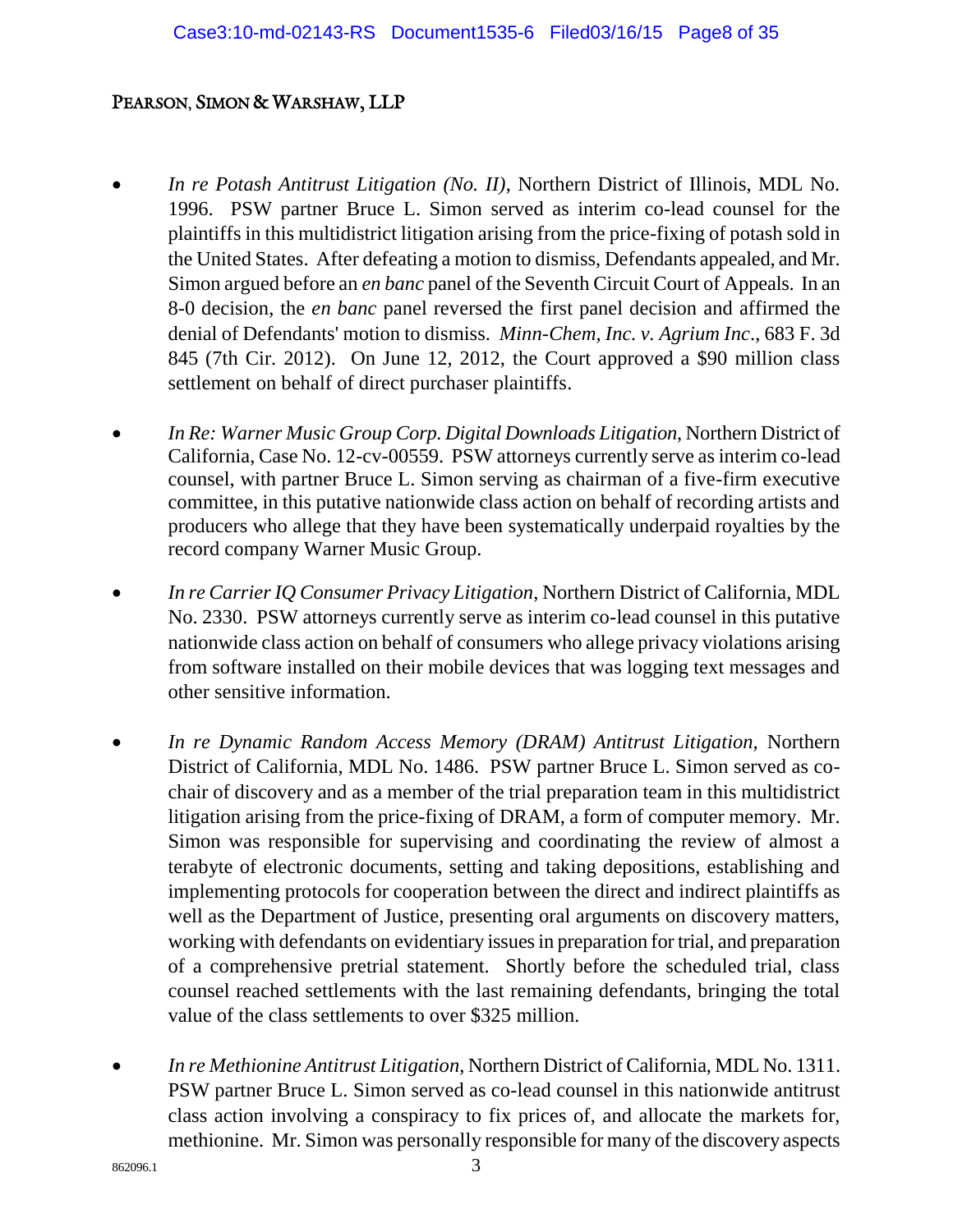- *In re Potash Antitrust Litigation (No. II)*, Northern District of Illinois, MDL No. 1996. PSW partner Bruce L. Simon served as interim co-lead counsel for the plaintiffs in this multidistrict litigation arising from the price-fixing of potash sold in the United States. After defeating a motion to dismiss, Defendants appealed, and Mr. Simon argued before an *en banc* panel of the Seventh Circuit Court of Appeals. In an 8-0 decision, the *en banc* panel reversed the first panel decision and affirmed the denial of Defendants' motion to dismiss. *Minn-Chem, Inc. v. Agrium Inc*., 683 F. 3d 845 (7th Cir. 2012). On June 12, 2012, the Court approved a \$90 million class settlement on behalf of direct purchaser plaintiffs.
- *In Re: Warner Music Group Corp. Digital Downloads Litigation*, Northern District of California, Case No. 12-cv-00559. PSW attorneys currently serve as interim co-lead counsel, with partner Bruce L. Simon serving as chairman of a five-firm executive committee, in this putative nationwide class action on behalf of recording artists and producers who allege that they have been systematically underpaid royalties by the record company Warner Music Group.
- *In re Carrier IQ Consumer Privacy Litigation*, Northern District of California, MDL No. 2330. PSW attorneys currently serve as interim co-lead counsel in this putative nationwide class action on behalf of consumers who allege privacy violations arising from software installed on their mobile devices that was logging text messages and other sensitive information.
- *In re Dynamic Random Access Memory (DRAM) Antitrust Litigation,* Northern District of California, MDL No. 1486. PSW partner Bruce L. Simon served as cochair of discovery and as a member of the trial preparation team in this multidistrict litigation arising from the price-fixing of DRAM, a form of computer memory. Mr. Simon was responsible for supervising and coordinating the review of almost a terabyte of electronic documents, setting and taking depositions, establishing and implementing protocols for cooperation between the direct and indirect plaintiffs as well as the Department of Justice, presenting oral arguments on discovery matters, working with defendants on evidentiary issues in preparation for trial, and preparation of a comprehensive pretrial statement. Shortly before the scheduled trial, class counsel reached settlements with the last remaining defendants, bringing the total value of the class settlements to over \$325 million.
- *In re Methionine Antitrust Litigation*, Northern District of California, MDL No. 1311. PSW partner Bruce L. Simon served as co-lead counsel in this nationwide antitrust class action involving a conspiracy to fix prices of, and allocate the markets for, methionine. Mr. Simon was personally responsible for many of the discovery aspects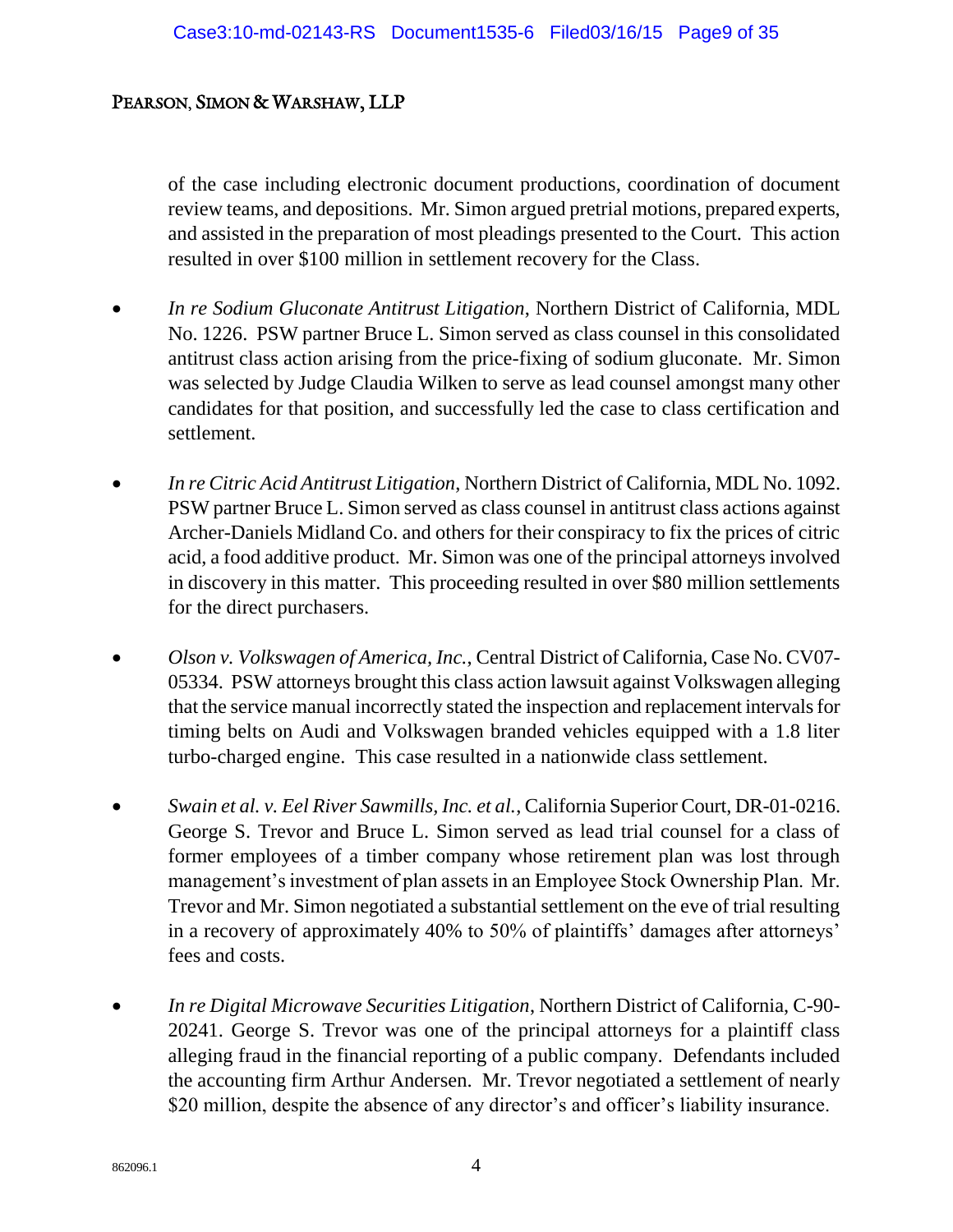of the case including electronic document productions, coordination of document review teams, and depositions. Mr. Simon argued pretrial motions, prepared experts, and assisted in the preparation of most pleadings presented to the Court. This action resulted in over \$100 million in settlement recovery for the Class.

- *In re Sodium Gluconate Antitrust Litigation*, Northern District of California, MDL No. 1226. PSW partner Bruce L. Simon served as class counsel in this consolidated antitrust class action arising from the price-fixing of sodium gluconate. Mr. Simon was selected by Judge Claudia Wilken to serve as lead counsel amongst many other candidates for that position, and successfully led the case to class certification and settlement.
- *In re Citric Acid Antitrust Litigation*, Northern District of California, MDL No. 1092. PSW partner Bruce L. Simon served as class counsel in antitrust class actions against Archer-Daniels Midland Co. and others for their conspiracy to fix the prices of citric acid, a food additive product. Mr. Simon was one of the principal attorneys involved in discovery in this matter. This proceeding resulted in over \$80 million settlements for the direct purchasers.
- *Olson v. Volkswagen of America, Inc.*, Central District of California, Case No. CV07- 05334. PSW attorneys brought this class action lawsuit against Volkswagen alleging that the service manual incorrectly stated the inspection and replacement intervals for timing belts on Audi and Volkswagen branded vehicles equipped with a 1.8 liter turbo-charged engine. This case resulted in a nationwide class settlement.
- *Swain et al. v. Eel River Sawmills, Inc. et al.*, California Superior Court, DR-01-0216. George S. Trevor and Bruce L. Simon served as lead trial counsel for a class of former employees of a timber company whose retirement plan was lost through management's investment of plan assets in an Employee Stock Ownership Plan. Mr. Trevor and Mr. Simon negotiated a substantial settlement on the eve of trial resulting in a recovery of approximately 40% to 50% of plaintiffs' damages after attorneys' fees and costs.
- *In re Digital Microwave Securities Litigation*, Northern District of California, C-90- 20241. George S. Trevor was one of the principal attorneys for a plaintiff class alleging fraud in the financial reporting of a public company. Defendants included the accounting firm Arthur Andersen. Mr. Trevor negotiated a settlement of nearly \$20 million, despite the absence of any director's and officer's liability insurance.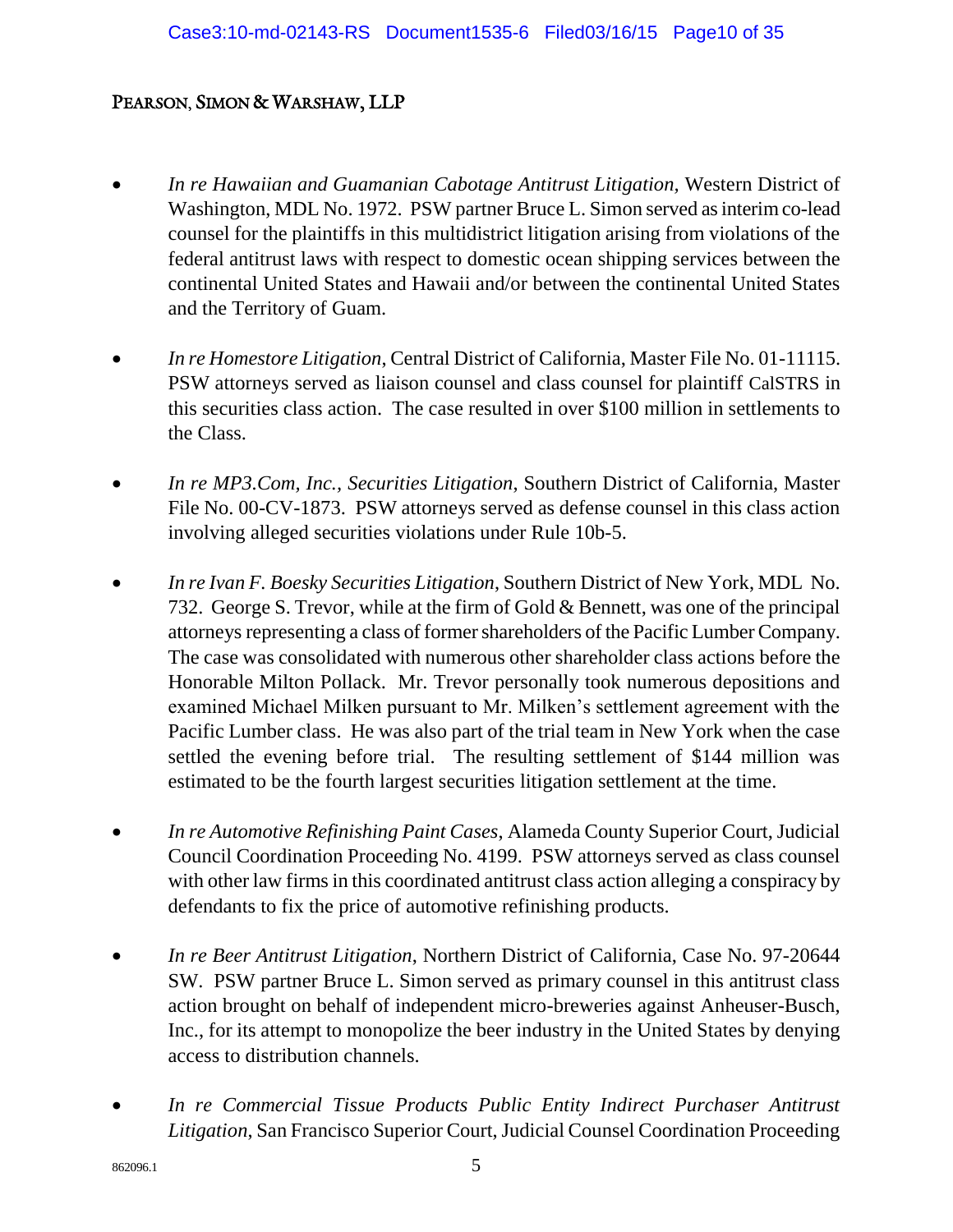- *In re Hawaiian and Guamanian Cabotage Antitrust Litigation,* Western District of Washington, MDL No. 1972. PSW partner Bruce L. Simon served as interim co-lead counsel for the plaintiffs in this multidistrict litigation arising from violations of the federal antitrust laws with respect to domestic ocean shipping services between the continental United States and Hawaii and/or between the continental United States and the Territory of Guam.
- *In re Homestore Litigation*, Central District of California, Master File No. 01-11115. PSW attorneys served as liaison counsel and class counsel for plaintiff CalSTRS in this securities class action. The case resulted in over \$100 million in settlements to the Class.
- *In re MP3.Com, Inc., Securities Litigation*, Southern District of California, Master File No. 00-CV-1873. PSW attorneys served as defense counsel in this class action involving alleged securities violations under Rule 10b-5.
- *In re Ivan F. Boesky Securities Litigation*, Southern District of New York, MDL No. 732. George S. Trevor, while at the firm of Gold & Bennett, was one of the principal attorneys representing a class of former shareholders of the Pacific Lumber Company. The case was consolidated with numerous other shareholder class actions before the Honorable Milton Pollack. Mr. Trevor personally took numerous depositions and examined Michael Milken pursuant to Mr. Milken's settlement agreement with the Pacific Lumber class. He was also part of the trial team in New York when the case settled the evening before trial. The resulting settlement of \$144 million was estimated to be the fourth largest securities litigation settlement at the time.
- *In re Automotive Refinishing Paint Cases*, Alameda County Superior Court, Judicial Council Coordination Proceeding No. 4199. PSW attorneys served as class counsel with other law firms in this coordinated antitrust class action alleging a conspiracy by defendants to fix the price of automotive refinishing products.
- *In re Beer Antitrust Litigation*, Northern District of California, Case No. 97-20644 SW. PSW partner Bruce L. Simon served as primary counsel in this antitrust class action brought on behalf of independent micro-breweries against Anheuser-Busch, Inc., for its attempt to monopolize the beer industry in the United States by denying access to distribution channels.
- *In re Commercial Tissue Products Public Entity Indirect Purchaser Antitrust Litigation*, San Francisco Superior Court, Judicial Counsel Coordination Proceeding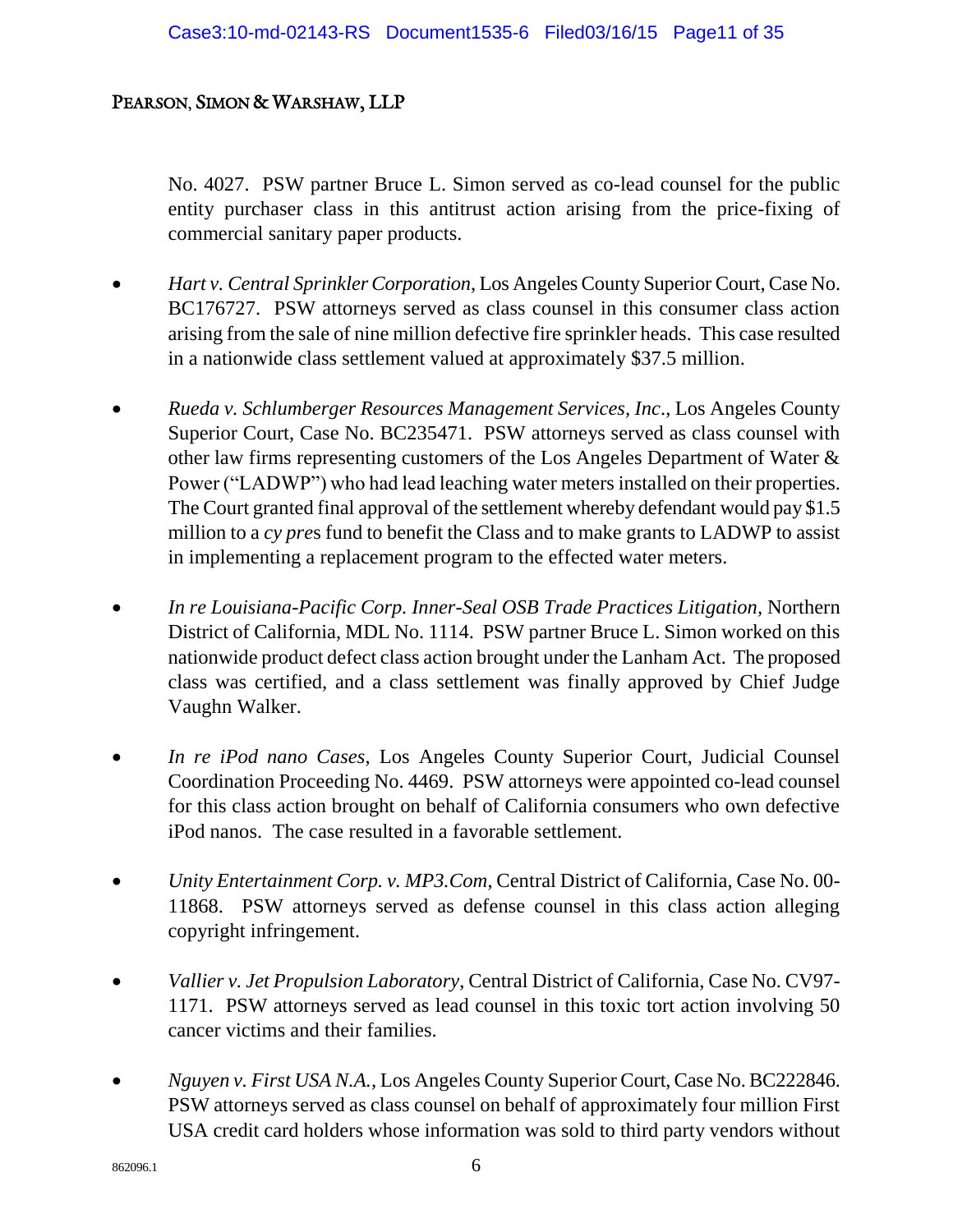No. 4027. PSW partner Bruce L. Simon served as co-lead counsel for the public entity purchaser class in this antitrust action arising from the price-fixing of commercial sanitary paper products.

- *Hart v. Central Sprinkler Corporation*, Los Angeles County Superior Court, Case No. BC176727. PSW attorneys served as class counsel in this consumer class action arising from the sale of nine million defective fire sprinkler heads. This case resulted in a nationwide class settlement valued at approximately \$37.5 million.
- *Rueda v. Schlumberger Resources Management Services, Inc*., Los Angeles County Superior Court, Case No. BC235471. PSW attorneys served as class counsel with other law firms representing customers of the Los Angeles Department of Water & Power ("LADWP") who had lead leaching water meters installed on their properties. The Court granted final approval of the settlement whereby defendant would pay \$1.5 million to a *cy pre*s fund to benefit the Class and to make grants to LADWP to assist in implementing a replacement program to the effected water meters.
- *In re Louisiana-Pacific Corp. Inner-Seal OSB Trade Practices Litigation,* Northern District of California, MDL No. 1114. PSW partner Bruce L. Simon worked on this nationwide product defect class action brought under the Lanham Act. The proposed class was certified, and a class settlement was finally approved by Chief Judge Vaughn Walker.
- *In re iPod nano Cases*, Los Angeles County Superior Court, Judicial Counsel Coordination Proceeding No. 4469. PSW attorneys were appointed co-lead counsel for this class action brought on behalf of California consumers who own defective iPod nanos. The case resulted in a favorable settlement.
- *Unity Entertainment Corp. v. MP3.Com*, Central District of California, Case No. 00- 11868. PSW attorneys served as defense counsel in this class action alleging copyright infringement.
- *Vallier v. Jet Propulsion Laboratory*, Central District of California, Case No. CV97- 1171. PSW attorneys served as lead counsel in this toxic tort action involving 50 cancer victims and their families.
- *Nguyen v. First USA N.A.,* Los Angeles County Superior Court, Case No. BC222846. PSW attorneys served as class counsel on behalf of approximately four million First USA credit card holders whose information was sold to third party vendors without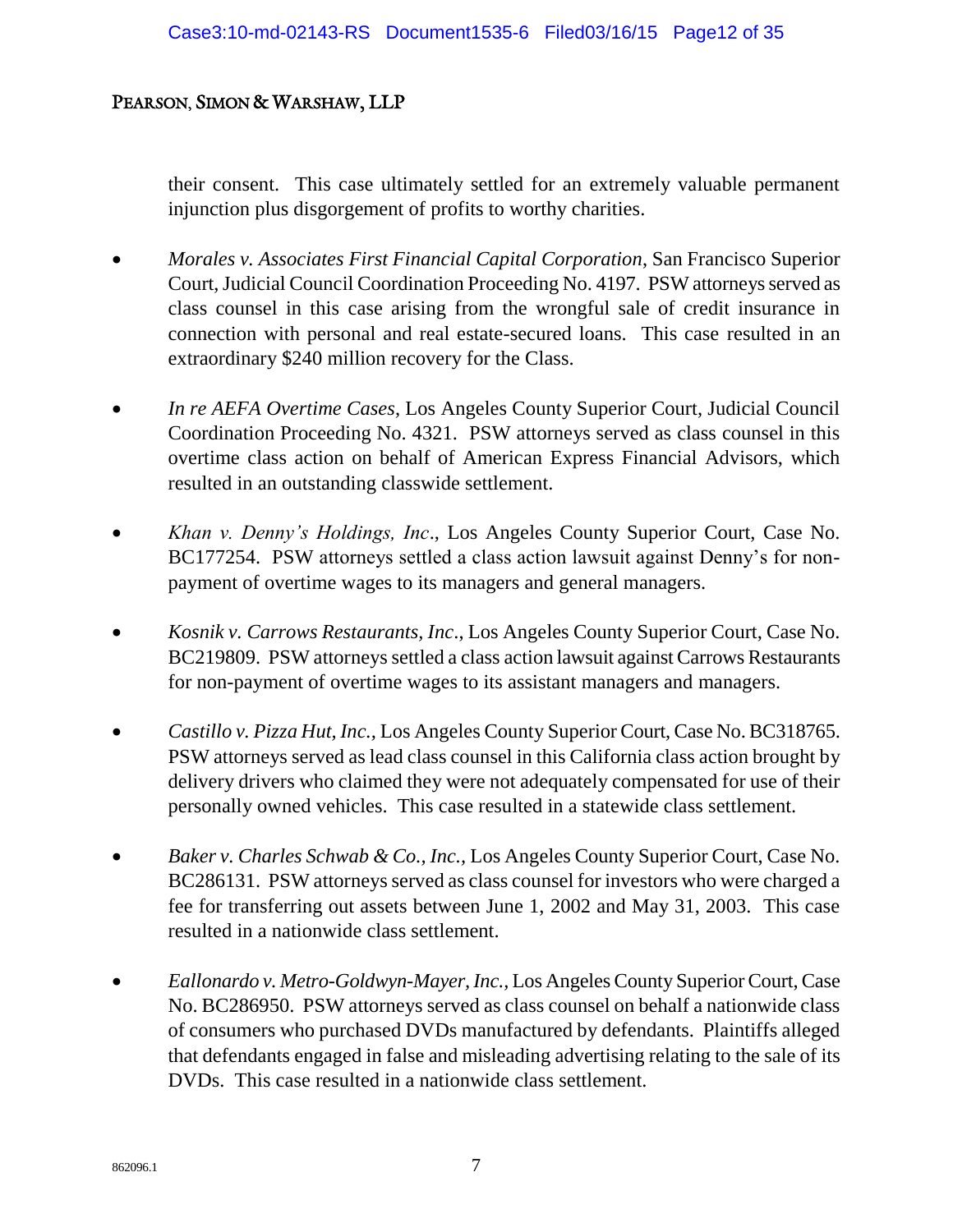their consent. This case ultimately settled for an extremely valuable permanent injunction plus disgorgement of profits to worthy charities.

- *Morales v. Associates First Financial Capital Corporation*, San Francisco Superior Court, Judicial Council Coordination Proceeding No. 4197. PSW attorneys served as class counsel in this case arising from the wrongful sale of credit insurance in connection with personal and real estate-secured loans. This case resulted in an extraordinary \$240 million recovery for the Class.
- *In re AEFA Overtime Cases*, Los Angeles County Superior Court, Judicial Council Coordination Proceeding No. 4321. PSW attorneys served as class counsel in this overtime class action on behalf of American Express Financial Advisors, which resulted in an outstanding classwide settlement.
- *Khan v. Denny's Holdings, Inc*., Los Angeles County Superior Court, Case No. BC177254. PSW attorneys settled a class action lawsuit against Denny's for nonpayment of overtime wages to its managers and general managers.
- *Kosnik v. Carrows Restaurants, Inc*., Los Angeles County Superior Court, Case No. BC219809. PSW attorneys settled a class action lawsuit against Carrows Restaurants for non-payment of overtime wages to its assistant managers and managers.
- *Castillo v. Pizza Hut, Inc.,* Los Angeles County Superior Court, Case No. BC318765. PSW attorneys served as lead class counsel in this California class action brought by delivery drivers who claimed they were not adequately compensated for use of their personally owned vehicles. This case resulted in a statewide class settlement.
- *Baker v. Charles Schwab & Co., Inc.,* Los Angeles County Superior Court, Case No. BC286131. PSW attorneys served as class counsel for investors who were charged a fee for transferring out assets between June 1, 2002 and May 31, 2003. This case resulted in a nationwide class settlement.
- *Eallonardo v. Metro-Goldwyn-Mayer, Inc.,* Los Angeles County Superior Court, Case No. BC286950. PSW attorneys served as class counsel on behalf a nationwide class of consumers who purchased DVDs manufactured by defendants. Plaintiffs alleged that defendants engaged in false and misleading advertising relating to the sale of its DVDs. This case resulted in a nationwide class settlement.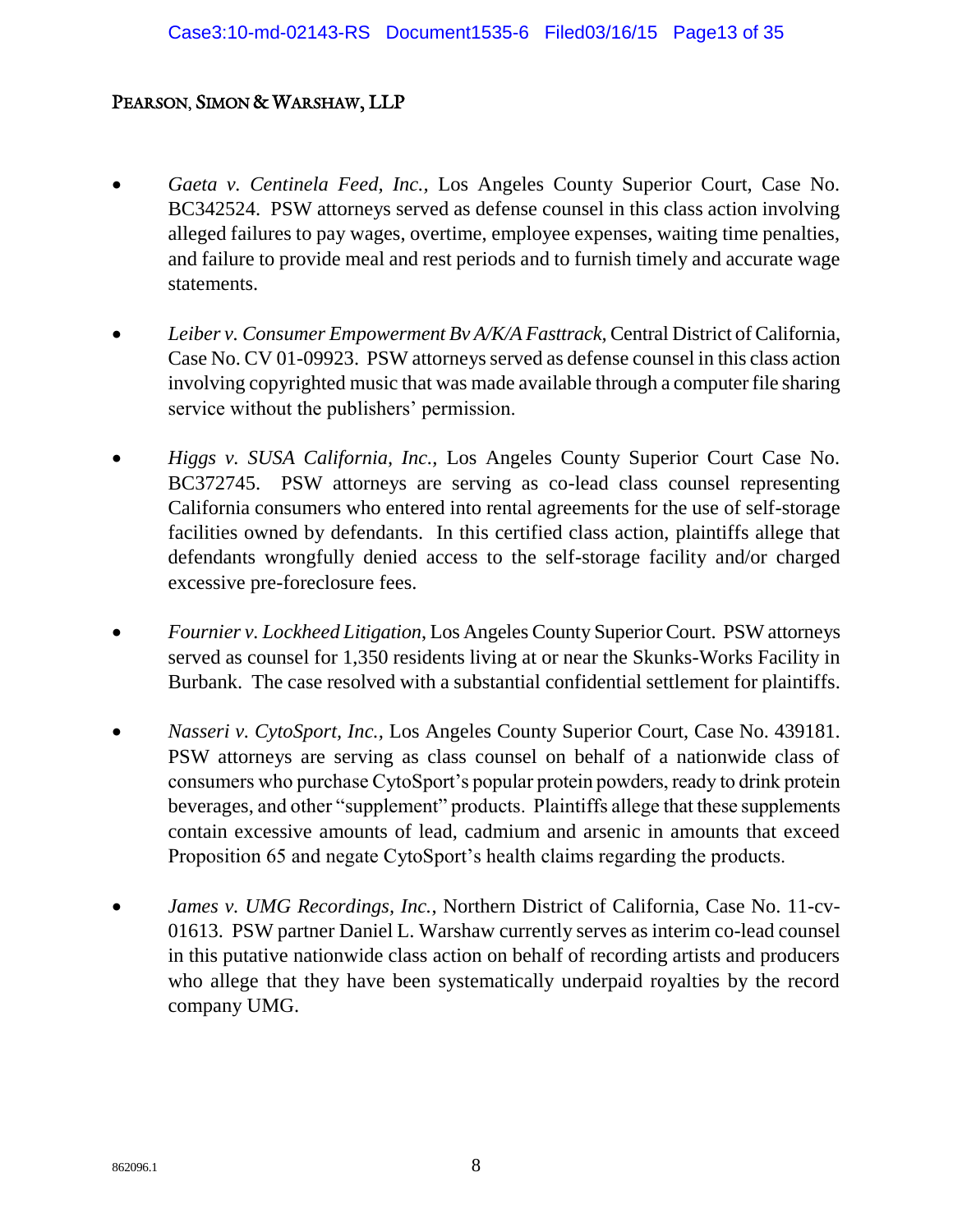- *Gaeta v. Centinela Feed, Inc.,* Los Angeles County Superior Court, Case No. BC342524. PSW attorneys served as defense counsel in this class action involving alleged failures to pay wages, overtime, employee expenses, waiting time penalties, and failure to provide meal and rest periods and to furnish timely and accurate wage statements.
- *Leiber v. Consumer Empowerment Bv A/K/A Fasttrack,* Central District of California, Case No. CV 01-09923. PSW attorneys served as defense counsel in this class action involving copyrighted music that was made available through a computer file sharing service without the publishers' permission.
- *Higgs v. SUSA California, Inc.,* Los Angeles County Superior Court Case No. BC372745. PSW attorneys are serving as co-lead class counsel representing California consumers who entered into rental agreements for the use of self-storage facilities owned by defendants. In this certified class action, plaintiffs allege that defendants wrongfully denied access to the self-storage facility and/or charged excessive pre-foreclosure fees.
- *Fournier v. Lockheed Litigation*, Los Angeles County Superior Court. PSW attorneys served as counsel for 1,350 residents living at or near the Skunks-Works Facility in Burbank. The case resolved with a substantial confidential settlement for plaintiffs.
- *Nasseri v. CytoSport, Inc.,* Los Angeles County Superior Court, Case No. 439181. PSW attorneys are serving as class counsel on behalf of a nationwide class of consumers who purchase CytoSport's popular protein powders, ready to drink protein beverages, and other "supplement" products. Plaintiffs allege that these supplements contain excessive amounts of lead, cadmium and arsenic in amounts that exceed Proposition 65 and negate CytoSport's health claims regarding the products.
- *James v. UMG Recordings, Inc.*, Northern District of California, Case No. 11-cv-01613. PSW partner Daniel L. Warshaw currently serves as interim co-lead counsel in this putative nationwide class action on behalf of recording artists and producers who allege that they have been systematically underpaid royalties by the record company UMG.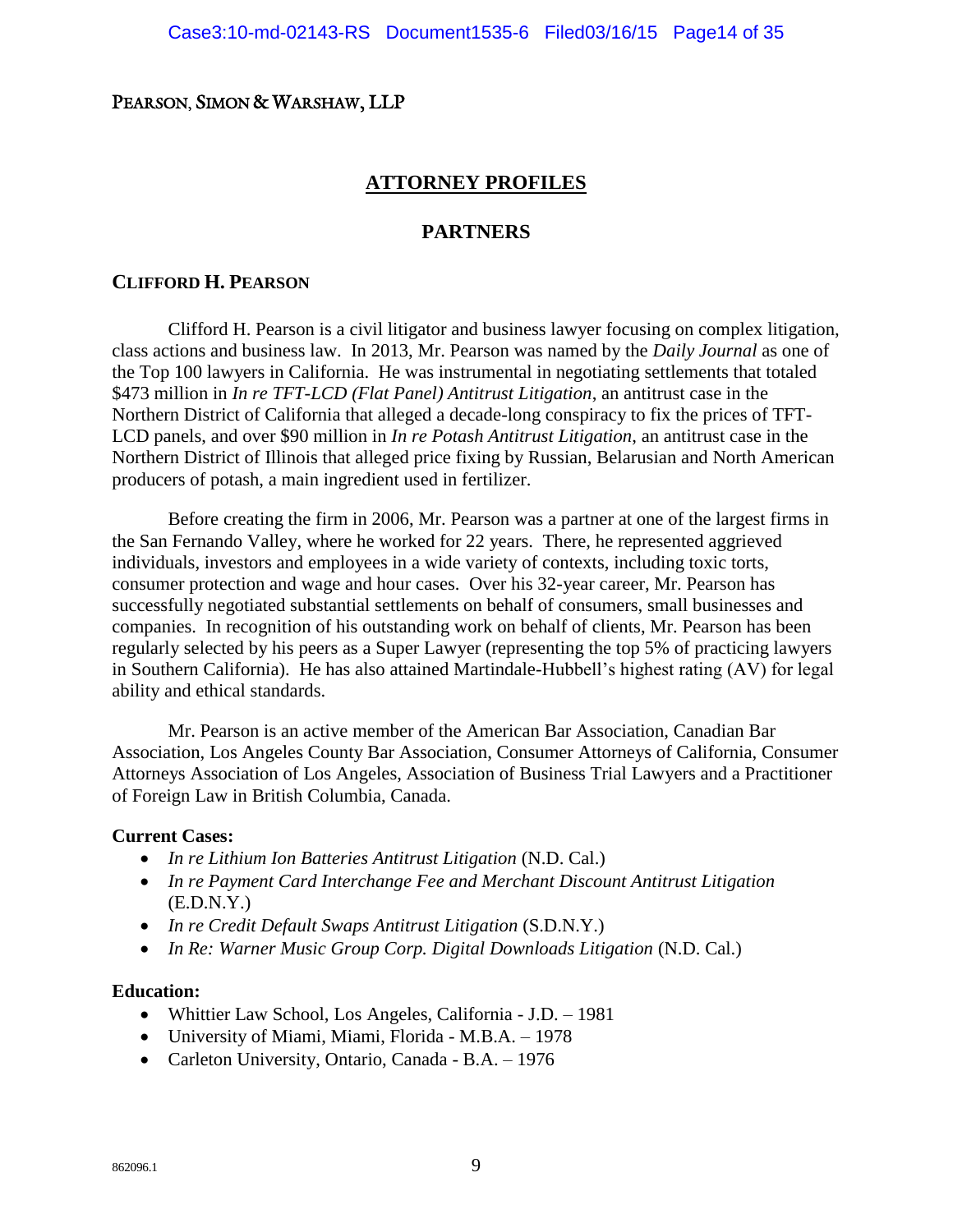#### **ATTORNEY PROFILES**

#### **PARTNERS**

#### **CLIFFORD H. PEARSON**

Clifford H. Pearson is a civil litigator and business lawyer focusing on complex litigation, class actions and business law. In 2013, Mr. Pearson was named by the *Daily Journal* as one of the Top 100 lawyers in California. He was instrumental in negotiating settlements that totaled \$473 million in *In re TFT-LCD (Flat Panel) Antitrust Litigation*, an antitrust case in the Northern District of California that alleged a decade-long conspiracy to fix the prices of TFT-LCD panels, and over \$90 million in *In re Potash Antitrust Litigation*, an antitrust case in the Northern District of Illinois that alleged price fixing by Russian, Belarusian and North American producers of potash, a main ingredient used in fertilizer.

Before creating the firm in 2006, Mr. Pearson was a partner at one of the largest firms in the San Fernando Valley, where he worked for 22 years. There, he represented aggrieved individuals, investors and employees in a wide variety of contexts, including toxic torts, consumer protection and wage and hour cases. Over his 32-year career, Mr. Pearson has successfully negotiated substantial settlements on behalf of consumers, small businesses and companies. In recognition of his outstanding work on behalf of clients, Mr. Pearson has been regularly selected by his peers as a Super Lawyer (representing the top 5% of practicing lawyers in Southern California). He has also attained Martindale-Hubbell's highest rating (AV) for legal ability and ethical standards.

Mr. Pearson is an active member of the American Bar Association, Canadian Bar Association, Los Angeles County Bar Association, Consumer Attorneys of California, Consumer Attorneys Association of Los Angeles, Association of Business Trial Lawyers and a Practitioner of Foreign Law in British Columbia, Canada.

#### **Current Cases:**

- *In re Lithium Ion Batteries Antitrust Litigation* (N.D. Cal.)
- *In re Payment Card Interchange Fee and Merchant Discount Antitrust Litigation*   $(E.D.N.Y.)$
- *In re Credit Default Swaps Antitrust Litigation* (S.D.N.Y.)
- *In Re: Warner Music Group Corp. Digital Downloads Litigation* (N.D. Cal.)

#### **Education:**

- Whittier Law School, Los Angeles, California J.D. 1981
- University of Miami, Miami, Florida M.B.A. 1978
- Carleton University, Ontario, Canada B.A. 1976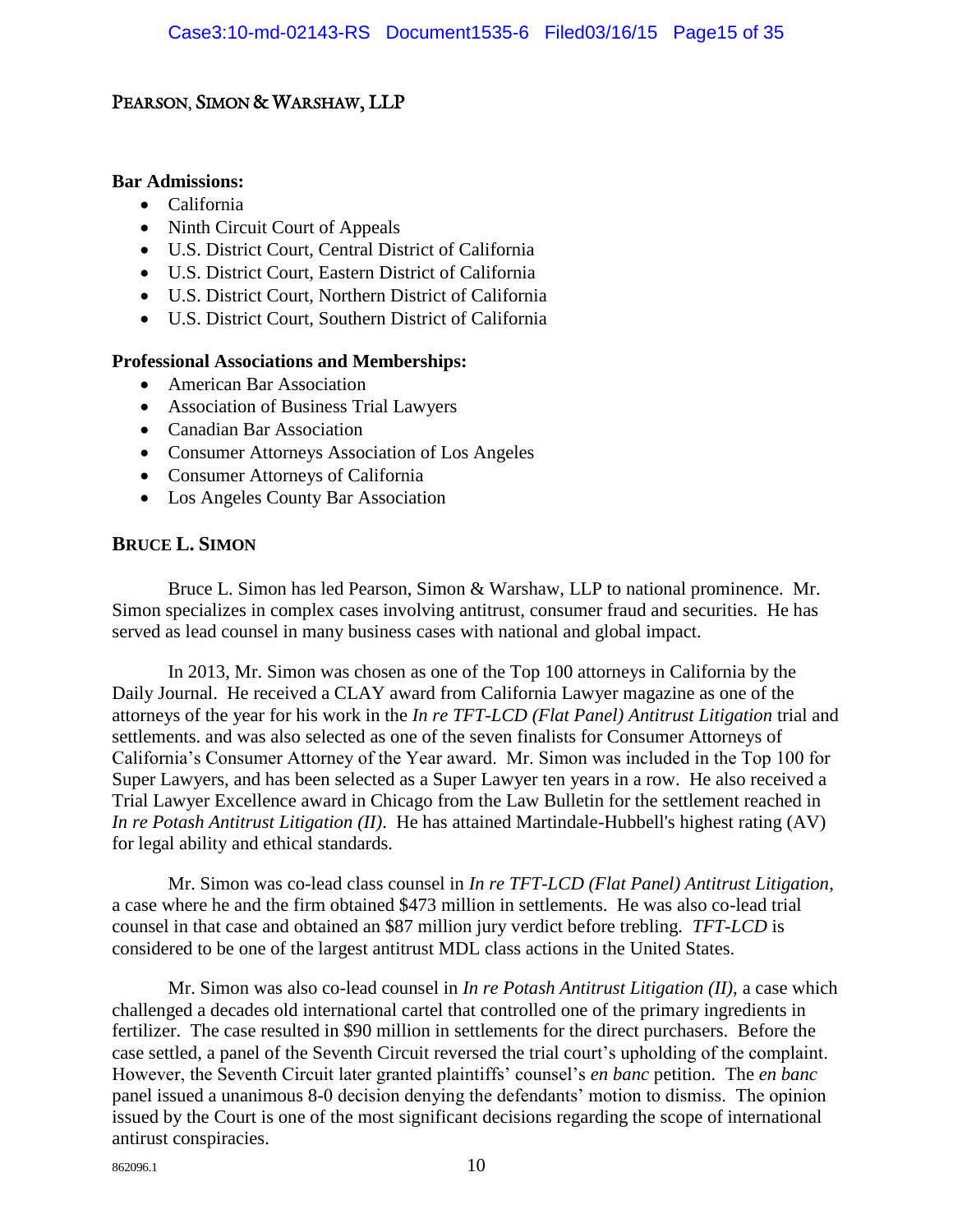#### **Bar Admissions:**

- California
- Ninth Circuit Court of Appeals
- U.S. District Court, Central District of California
- U.S. District Court, Eastern District of California
- U.S. District Court, Northern District of California
- U.S. District Court, Southern District of California

#### **Professional Associations and Memberships:**

- American Bar Association
- Association of Business Trial Lawyers
- Canadian Bar Association
- Consumer Attorneys Association of Los Angeles
- Consumer Attorneys of California
- Los Angeles County Bar Association

#### **BRUCE L. SIMON**

Bruce L. Simon has led Pearson, Simon & Warshaw, LLP to national prominence. Mr. Simon specializes in complex cases involving antitrust, consumer fraud and securities. He has served as lead counsel in many business cases with national and global impact.

In 2013, Mr. Simon was chosen as one of the Top 100 attorneys in California by the Daily Journal. He received a CLAY award from California Lawyer magazine as one of the attorneys of the year for his work in the *In re TFT-LCD (Flat Panel) Antitrust Litigation* trial and settlements. and was also selected as one of the seven finalists for Consumer Attorneys of California's Consumer Attorney of the Year award. Mr. Simon was included in the Top 100 for Super Lawyers, and has been selected as a Super Lawyer ten years in a row. He also received a Trial Lawyer Excellence award in Chicago from the Law Bulletin for the settlement reached in *In re Potash Antitrust Litigation (II)*. He has attained Martindale-Hubbell's highest rating (AV) for legal ability and ethical standards.

Mr. Simon was co-lead class counsel in *In re TFT-LCD (Flat Panel) Antitrust Litigation*, a case where he and the firm obtained \$473 million in settlements. He was also co-lead trial counsel in that case and obtained an \$87 million jury verdict before trebling. *TFT-LCD* is considered to be one of the largest antitrust MDL class actions in the United States.

Mr. Simon was also co-lead counsel in *In re Potash Antitrust Litigation (II)*, a case which challenged a decades old international cartel that controlled one of the primary ingredients in fertilizer. The case resulted in \$90 million in settlements for the direct purchasers. Before the case settled, a panel of the Seventh Circuit reversed the trial court's upholding of the complaint. However, the Seventh Circuit later granted plaintiffs' counsel's *en banc* petition. The *en banc* panel issued a unanimous 8-0 decision denying the defendants' motion to dismiss. The opinion issued by the Court is one of the most significant decisions regarding the scope of international antirust conspiracies.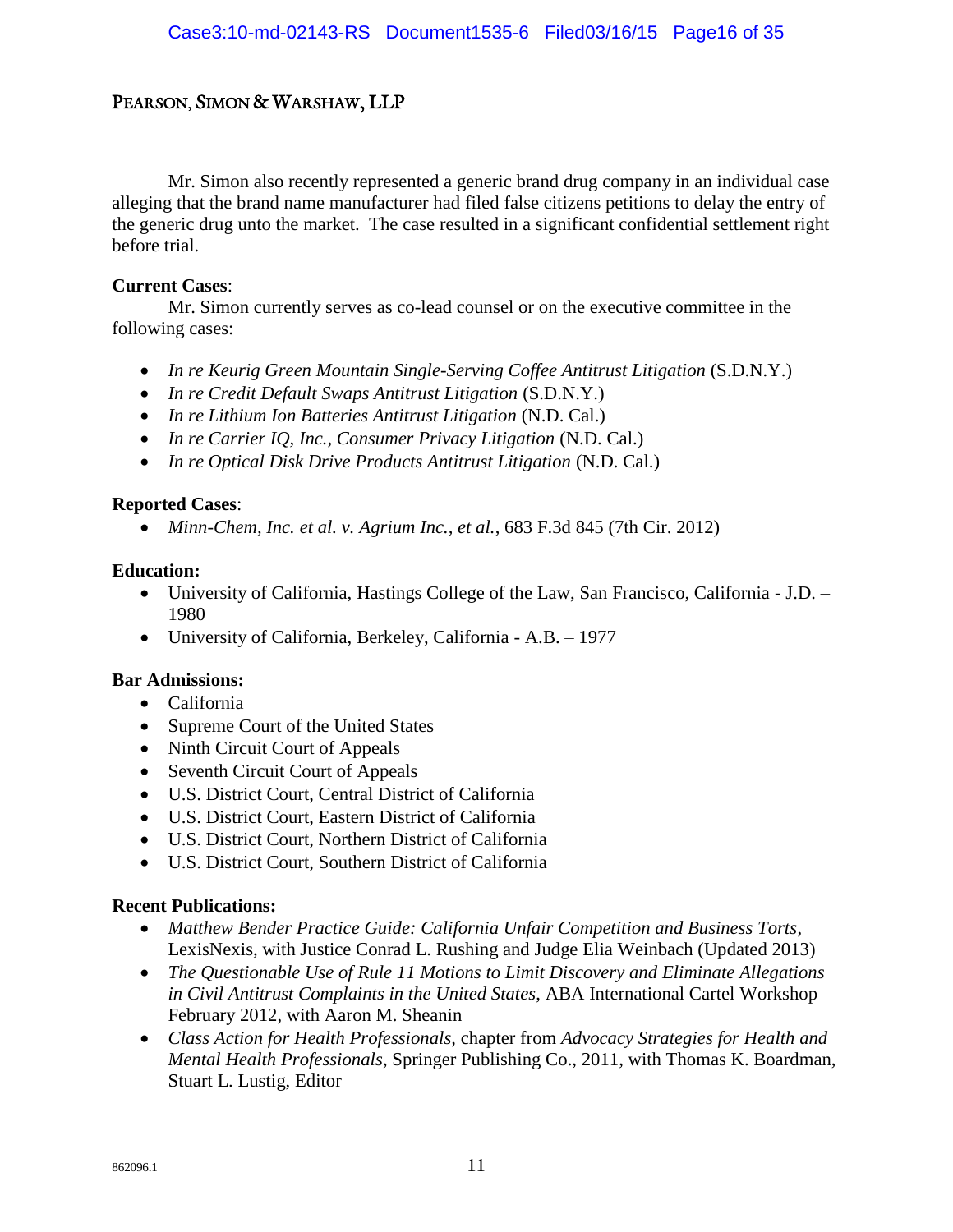Mr. Simon also recently represented a generic brand drug company in an individual case alleging that the brand name manufacturer had filed false citizens petitions to delay the entry of the generic drug unto the market. The case resulted in a significant confidential settlement right before trial.

#### **Current Cases**:

Mr. Simon currently serves as co-lead counsel or on the executive committee in the following cases:

- *In re Keurig Green Mountain Single-Serving Coffee Antitrust Litigation* (S.D.N.Y.)
- *In re Credit Default Swaps Antitrust Litigation* (S.D.N.Y.)
- *In re Lithium Ion Batteries Antitrust Litigation* (N.D. Cal.)
- *In re Carrier IQ, Inc., Consumer Privacy Litigation* (N.D. Cal.)
- In re Optical Disk Drive Products Antitrust Litigation (N.D. Cal.)

#### **Reported Cases**:

*Minn-Chem, Inc. et al. v. Agrium Inc., et al.*, 683 F.3d 845 (7th Cir. 2012)

#### **Education:**

- University of California, Hastings College of the Law, San Francisco, California J.D. 1980
- University of California, Berkeley, California A.B. 1977

#### **Bar Admissions:**

- California
- Supreme Court of the United States
- Ninth Circuit Court of Appeals
- Seventh Circuit Court of Appeals
- U.S. District Court, Central District of California
- U.S. District Court, Eastern District of California
- U.S. District Court, Northern District of California
- U.S. District Court, Southern District of California

#### **Recent Publications:**

- *Matthew Bender Practice Guide: California Unfair Competition and Business Torts*, LexisNexis, with Justice Conrad L. Rushing and Judge Elia Weinbach (Updated 2013)
- *The Questionable Use of Rule 11 Motions to Limit Discovery and Eliminate Allegations in Civil Antitrust Complaints in the United States*, ABA International Cartel Workshop February 2012, with Aaron M. Sheanin
- *Class Action for Health Professionals,* chapter from *Advocacy Strategies for Health and Mental Health Professionals*, Springer Publishing Co., 2011, with Thomas K. Boardman, Stuart L. Lustig, Editor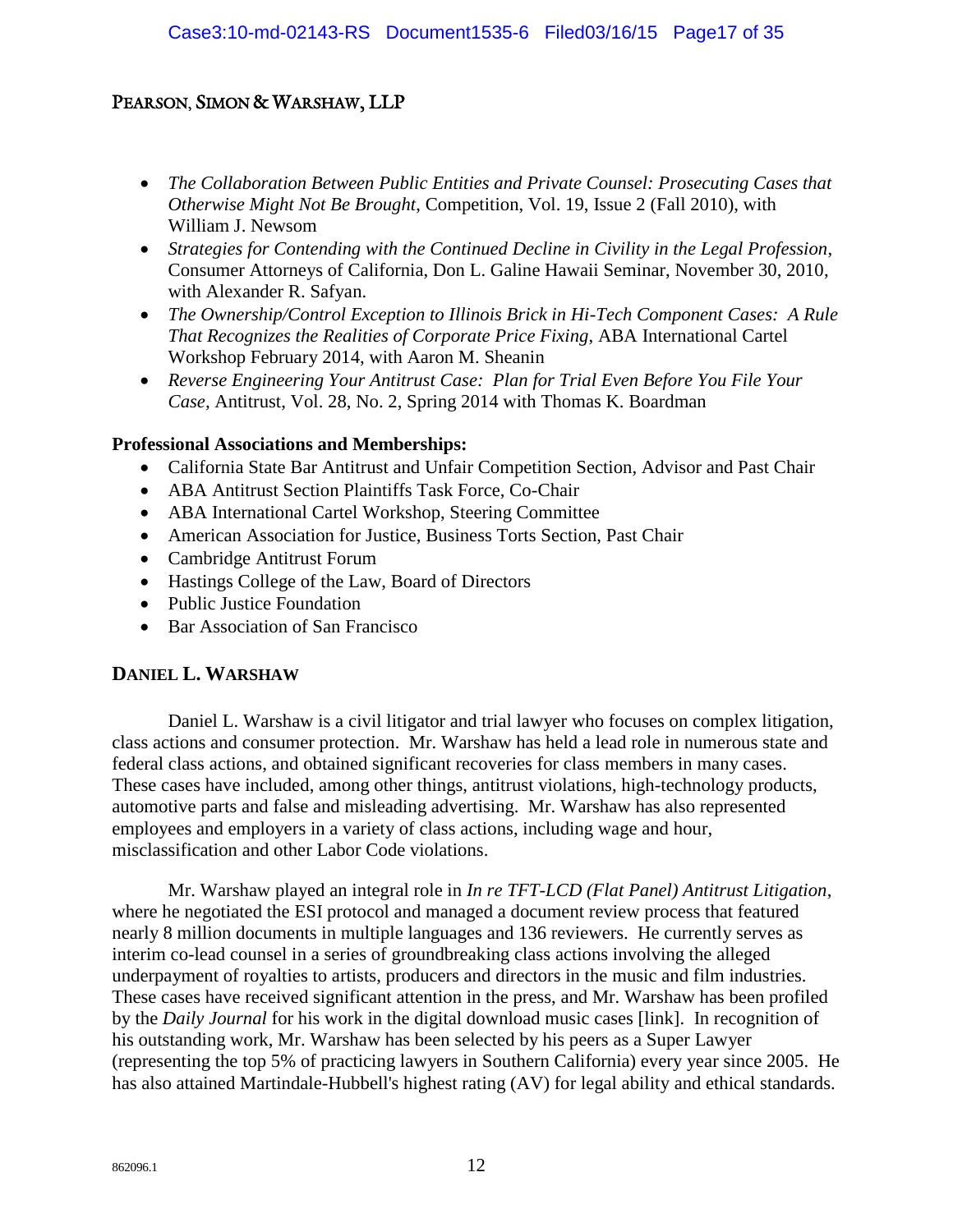- *The Collaboration Between Public Entities and Private Counsel: Prosecuting Cases that Otherwise Might Not Be Brought*, Competition, Vol. 19, Issue 2 (Fall 2010), with William J. Newsom
- *Strategies for Contending with the Continued Decline in Civility in the Legal Profession*, Consumer Attorneys of California, Don L. Galine Hawaii Seminar, November 30, 2010, with Alexander R. Safyan.
- *The Ownership/Control Exception to Illinois Brick in Hi-Tech Component Cases: A Rule That Recognizes the Realities of Corporate Price Fixing*, ABA International Cartel Workshop February 2014, with Aaron M. Sheanin
- *Reverse Engineering Your Antitrust Case: Plan for Trial Even Before You File Your Case,* Antitrust, Vol. 28, No. 2, Spring 2014 with Thomas K. Boardman

#### **Professional Associations and Memberships:**

- California State Bar Antitrust and Unfair Competition Section, Advisor and Past Chair
- ABA Antitrust Section Plaintiffs Task Force, Co-Chair
- ABA International Cartel Workshop, Steering Committee
- American Association for Justice, Business Torts Section, Past Chair
- Cambridge Antitrust Forum
- Hastings College of the Law, Board of Directors
- Public Justice Foundation
- Bar Association of San Francisco

#### **DANIEL L. WARSHAW**

Daniel L. Warshaw is a civil litigator and trial lawyer who focuses on complex litigation, class actions and consumer protection. Mr. Warshaw has held a lead role in numerous state and federal class actions, and obtained significant recoveries for class members in many cases. These cases have included, among other things, antitrust violations, high-technology products, automotive parts and false and misleading advertising. Mr. Warshaw has also represented employees and employers in a variety of class actions, including wage and hour, misclassification and other Labor Code violations.

Mr. Warshaw played an integral role in *In re TFT-LCD (Flat Panel) Antitrust Litigation*, where he negotiated the ESI protocol and managed a document review process that featured nearly 8 million documents in multiple languages and 136 reviewers. He currently serves as interim co-lead counsel in a series of groundbreaking class actions involving the alleged underpayment of royalties to artists, producers and directors in the music and film industries. These cases have received significant attention in the press, and Mr. Warshaw has been profiled by the *Daily Journal* for his work in the digital download music cases [link]. In recognition of his outstanding work, Mr. Warshaw has been selected by his peers as a Super Lawyer (representing the top 5% of practicing lawyers in Southern California) every year since 2005. He has also attained Martindale-Hubbell's highest rating (AV) for legal ability and ethical standards.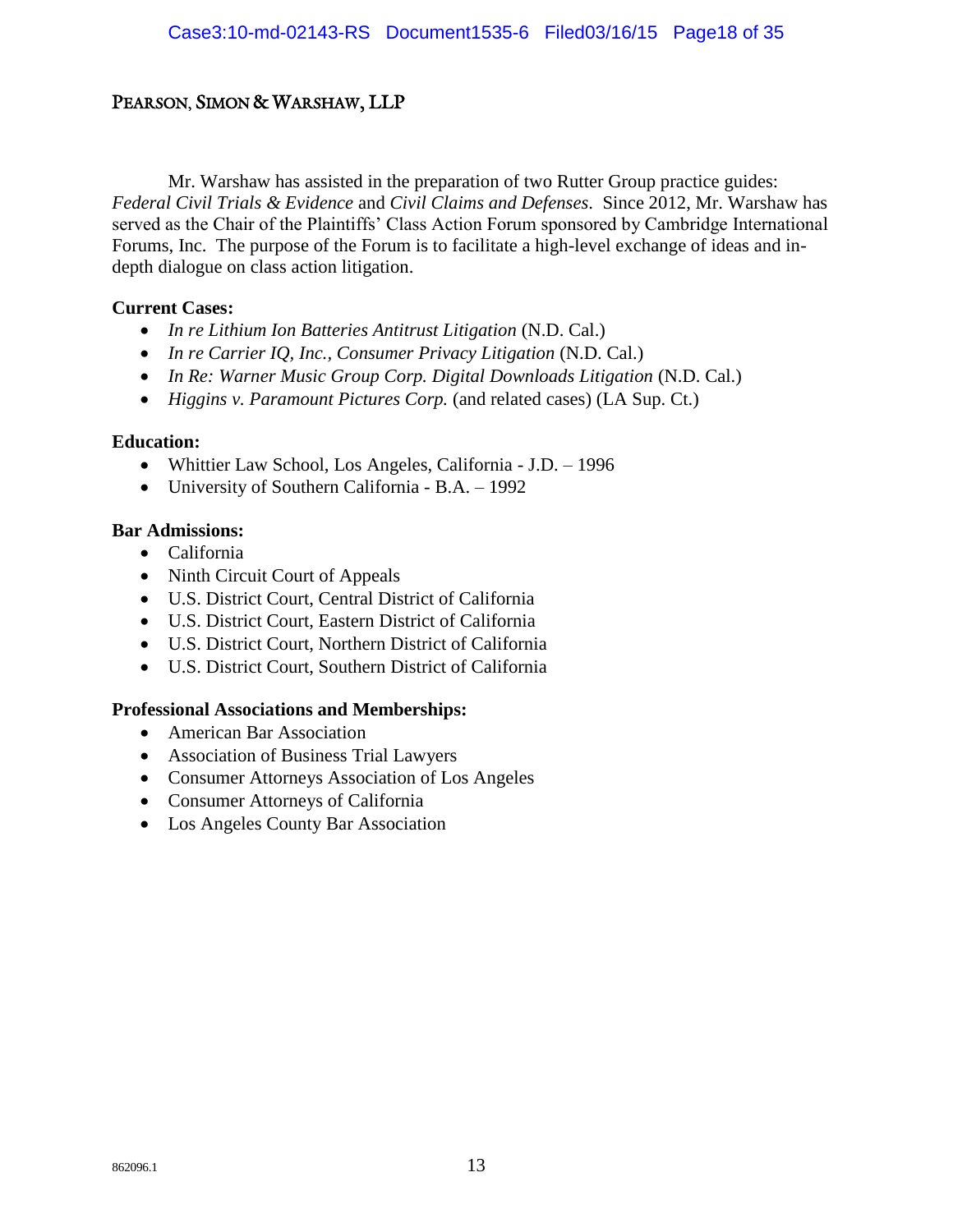Mr. Warshaw has assisted in the preparation of two Rutter Group practice guides: *Federal Civil Trials & Evidence* and *Civil Claims and Defenses*. Since 2012, Mr. Warshaw has served as the Chair of the Plaintiffs' Class Action Forum sponsored by Cambridge International Forums, Inc. The purpose of the Forum is to facilitate a high-level exchange of ideas and indepth dialogue on class action litigation.

#### **Current Cases:**

- *In re Lithium Ion Batteries Antitrust Litigation* (N.D. Cal.)
- *In re Carrier IQ, Inc., Consumer Privacy Litigation* (N.D. Cal.)
- In Re: Warner Music Group Corp. Digital Downloads Litigation (N.D. Cal.)
- *Higgins v. Paramount Pictures Corp.* (and related cases) (LA Sup. Ct.)

#### **Education:**

- Whittier Law School, Los Angeles, California J.D. 1996
- University of Southern California B.A. 1992

#### **Bar Admissions:**

- California
- Ninth Circuit Court of Appeals
- U.S. District Court, Central District of California
- U.S. District Court, Eastern District of California
- U.S. District Court, Northern District of California
- U.S. District Court, Southern District of California

#### **Professional Associations and Memberships:**

- American Bar Association
- Association of Business Trial Lawyers
- Consumer Attorneys Association of Los Angeles
- Consumer Attorneys of California
- Los Angeles County Bar Association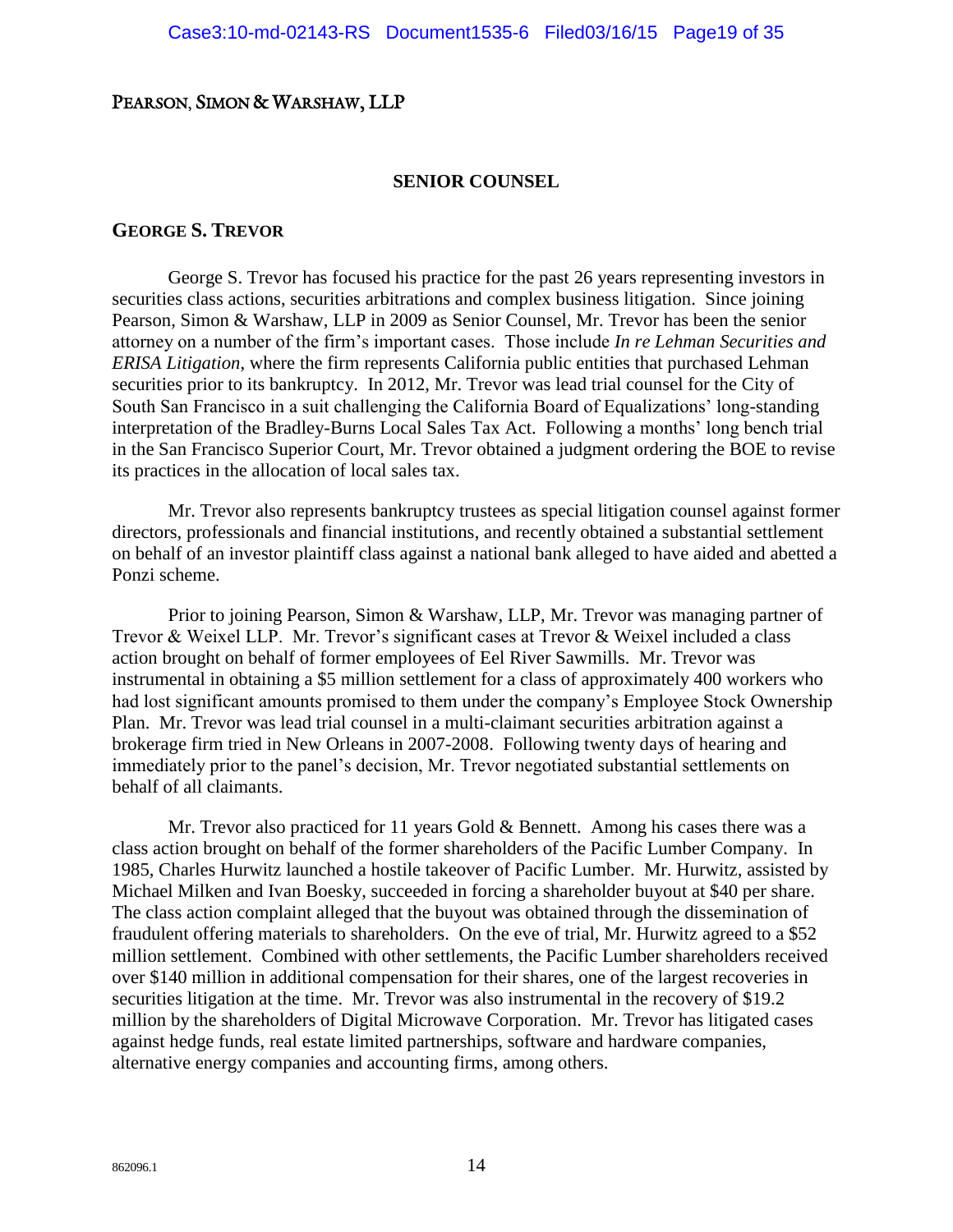#### **SENIOR COUNSEL**

#### **GEORGE S. TREVOR**

George S. Trevor has focused his practice for the past 26 years representing investors in securities class actions, securities arbitrations and complex business litigation. Since joining Pearson, Simon & Warshaw, LLP in 2009 as Senior Counsel, Mr. Trevor has been the senior attorney on a number of the firm's important cases. Those include *In re Lehman Securities and ERISA Litigation*, where the firm represents California public entities that purchased Lehman securities prior to its bankruptcy. In 2012, Mr. Trevor was lead trial counsel for the City of South San Francisco in a suit challenging the California Board of Equalizations' long-standing interpretation of the Bradley-Burns Local Sales Tax Act. Following a months' long bench trial in the San Francisco Superior Court, Mr. Trevor obtained a judgment ordering the BOE to revise its practices in the allocation of local sales tax.

Mr. Trevor also represents bankruptcy trustees as special litigation counsel against former directors, professionals and financial institutions, and recently obtained a substantial settlement on behalf of an investor plaintiff class against a national bank alleged to have aided and abetted a Ponzi scheme.

Prior to joining Pearson, Simon & Warshaw, LLP, Mr. Trevor was managing partner of Trevor & Weixel LLP. Mr. Trevor's significant cases at Trevor & Weixel included a class action brought on behalf of former employees of Eel River Sawmills. Mr. Trevor was instrumental in obtaining a \$5 million settlement for a class of approximately 400 workers who had lost significant amounts promised to them under the company's Employee Stock Ownership Plan. Mr. Trevor was lead trial counsel in a multi-claimant securities arbitration against a brokerage firm tried in New Orleans in 2007-2008. Following twenty days of hearing and immediately prior to the panel's decision, Mr. Trevor negotiated substantial settlements on behalf of all claimants.

Mr. Trevor also practiced for 11 years Gold & Bennett. Among his cases there was a class action brought on behalf of the former shareholders of the Pacific Lumber Company. In 1985, Charles Hurwitz launched a hostile takeover of Pacific Lumber. Mr. Hurwitz, assisted by Michael Milken and Ivan Boesky, succeeded in forcing a shareholder buyout at \$40 per share. The class action complaint alleged that the buyout was obtained through the dissemination of fraudulent offering materials to shareholders. On the eve of trial, Mr. Hurwitz agreed to a \$52 million settlement. Combined with other settlements, the Pacific Lumber shareholders received over \$140 million in additional compensation for their shares, one of the largest recoveries in securities litigation at the time. Mr. Trevor was also instrumental in the recovery of \$19.2 million by the shareholders of Digital Microwave Corporation. Mr. Trevor has litigated cases against hedge funds, real estate limited partnerships, software and hardware companies, alternative energy companies and accounting firms, among others.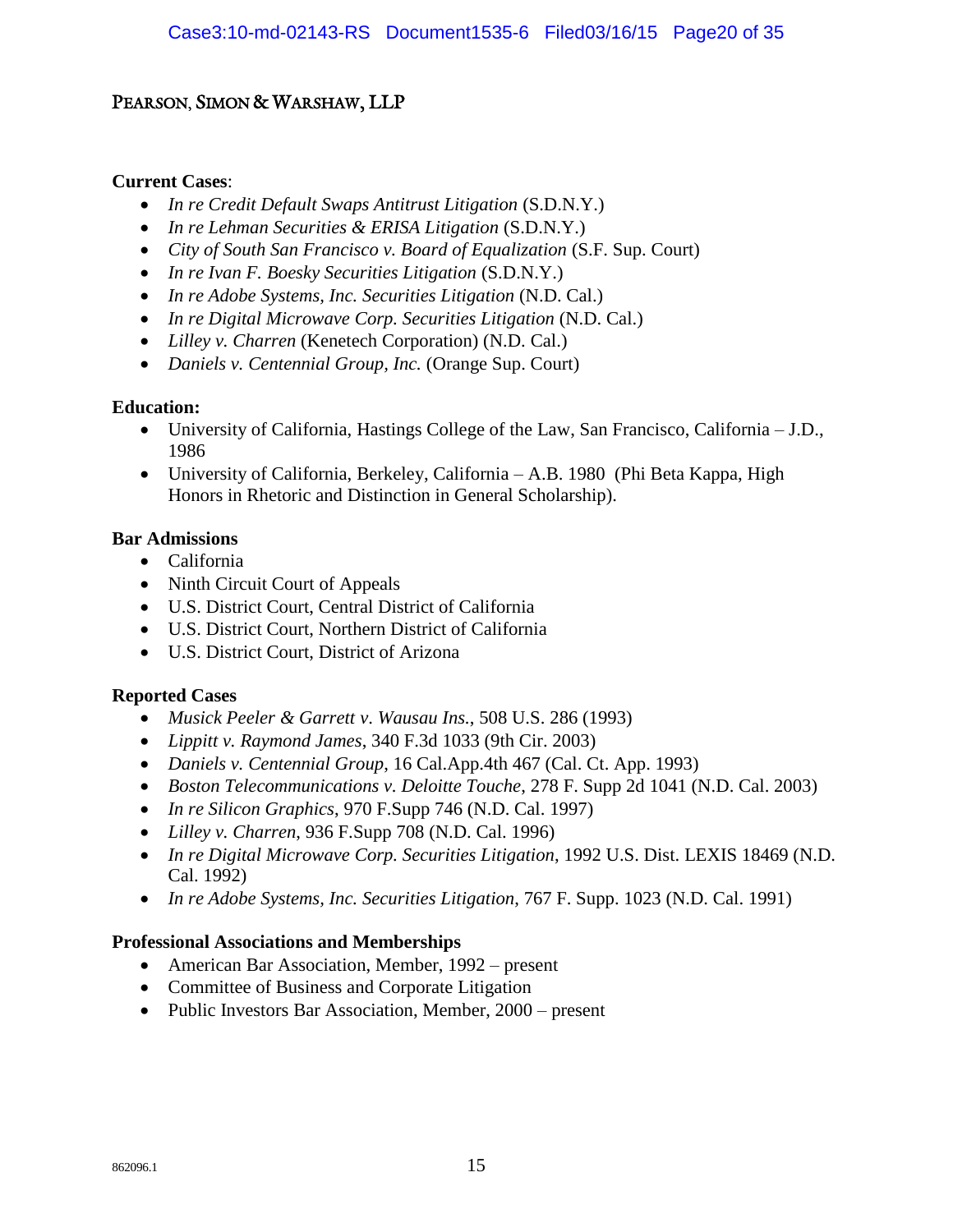#### **Current Cases**:

- *In re Credit Default Swaps Antitrust Litigation* (S.D.N.Y.)
- *In re Lehman Securities & ERISA Litigation* (S.D.N.Y.)
- *City of South San Francisco v. Board of Equalization* (S.F. Sup. Court)
- *In re Ivan F. Boesky Securities Litigation* (S.D.N.Y.)
- *In re Adobe Systems, Inc. Securities Litigation* (N.D. Cal.)
- *In re Digital Microwave Corp. Securities Litigation* (N.D. Cal.)
- *Lilley v. Charren* (Kenetech Corporation) (N.D. Cal.)
- *Daniels v. Centennial Group, Inc.* (Orange Sup. Court)

#### **Education:**

- University of California, Hastings College of the Law, San Francisco, California J.D., 1986
- University of California, Berkeley, California A.B. 1980 (Phi Beta Kappa, High Honors in Rhetoric and Distinction in General Scholarship).

#### **Bar Admissions**

- California
- Ninth Circuit Court of Appeals
- U.S. District Court, Central District of California
- U.S. District Court, Northern District of California
- U.S. District Court, District of Arizona

#### **Reported Cases**

- *Musick Peeler & Garrett v*. *Wausau Ins.*[, 508 U.S. 286 \(1993\)](http://www.westlaw.com/find/default.wl?rs=wdoc2.0&vr=2.0&serialnum=&findtype=TN&cite=508%20U.S.%20286)
- *Lippitt v. Raymond James*[, 340 F.3d 1033 \(9th Cir. 2003\)](http://www.westlaw.com/find/default.wl?rs=wdoc2.0&vr=2.0&serialnum=&findtype=TN&cite=340%20F.3d%201033)
- *Daniels v. Centennial Group*, 16 Cal.App.4th 467 (Cal. Ct. App. 1993)
- *Boston Telecommunications v. Deloitte Touche*, 278 F. Supp 2d 1041 (N.D. Cal. 2003)
- *In re Silicon Graphics*, 970 F.Supp 746 (N.D. Cal. 1997)
- *Lilley v. Charren*, 936 F.Supp 708 (N.D. Cal. 1996)
- *In re Digital Microwave Corp. Securities Litigation*, 1992 U.S. Dist. LEXIS 18469 (N.D. Cal. 1992)
- *In re Adobe Systems, Inc. Securities Litigation*, 767 F. Supp. 1023 (N.D. Cal. 1991)

#### **Professional Associations and Memberships**

- American Bar Association, Member, 1992 present
- Committee of Business and Corporate Litigation
- Public Investors Bar Association, Member, 2000 present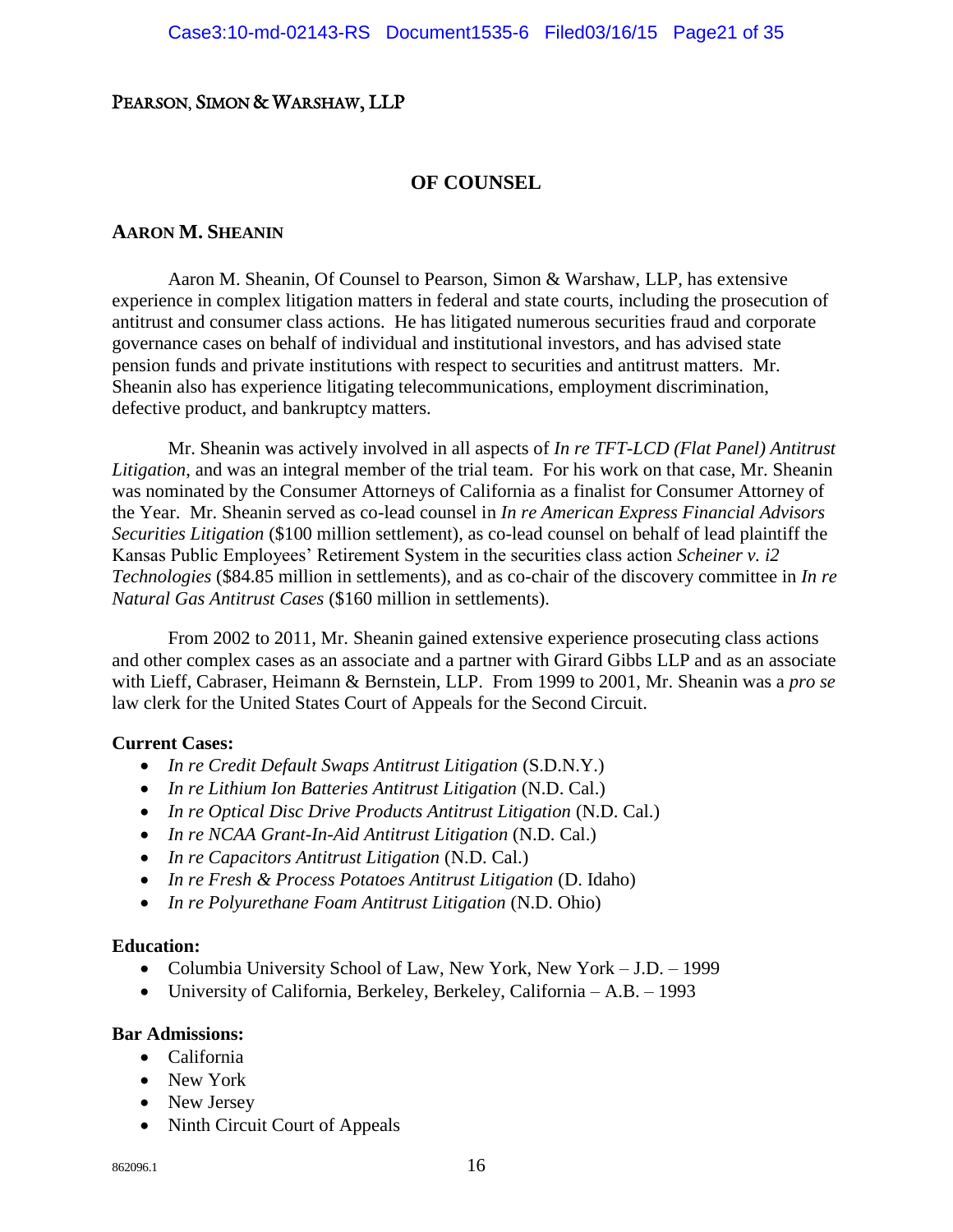#### **OF COUNSEL**

#### **AARON M. SHEANIN**

Aaron M. Sheanin, Of Counsel to Pearson, Simon & Warshaw, LLP, has extensive experience in complex litigation matters in federal and state courts, including the prosecution of antitrust and consumer class actions. He has litigated numerous securities fraud and corporate governance cases on behalf of individual and institutional investors, and has advised state pension funds and private institutions with respect to securities and antitrust matters. Mr. Sheanin also has experience litigating telecommunications, employment discrimination, defective product, and bankruptcy matters.

Mr. Sheanin was actively involved in all aspects of *In re TFT-LCD (Flat Panel) Antitrust Litigation*, and was an integral member of the trial team. For his work on that case, Mr. Sheanin was nominated by the Consumer Attorneys of California as a finalist for Consumer Attorney of the Year. Mr. Sheanin served as co-lead counsel in *In re American Express Financial Advisors Securities Litigation* (\$100 million settlement), as co-lead counsel on behalf of lead plaintiff the Kansas Public Employees' Retirement System in the securities class action *Scheiner v. i2 Technologies* (\$84.85 million in settlements), and as co-chair of the discovery committee in *In re Natural Gas Antitrust Cases* (\$160 million in settlements).

From 2002 to 2011, Mr. Sheanin gained extensive experience prosecuting class actions and other complex cases as an associate and a partner with Girard Gibbs LLP and as an associate with Lieff, Cabraser, Heimann & Bernstein, LLP. From 1999 to 2001, Mr. Sheanin was a *pro se* law clerk for the United States Court of Appeals for the Second Circuit.

#### **Current Cases:**

- *In re Credit Default Swaps Antitrust Litigation* (S.D.N.Y.)
- *In re Lithium Ion Batteries Antitrust Litigation* (N.D. Cal.)
- *In re Optical Disc Drive Products Antitrust Litigation* (N.D. Cal.)
- *In re NCAA Grant-In-Aid Antitrust Litigation* (N.D. Cal.)
- *In re Capacitors Antitrust Litigation* (N.D. Cal.)
- *In re Fresh & Process Potatoes Antitrust Litigation* (D. Idaho)
- *In re Polyurethane Foam Antitrust Litigation* (N.D. Ohio)

#### **Education:**

- Columbia University School of Law, New York, New York J.D. 1999
- University of California, Berkeley, Berkeley, California A.B. 1993

#### **Bar Admissions:**

- California
- New York
- New Jersey
- Ninth Circuit Court of Appeals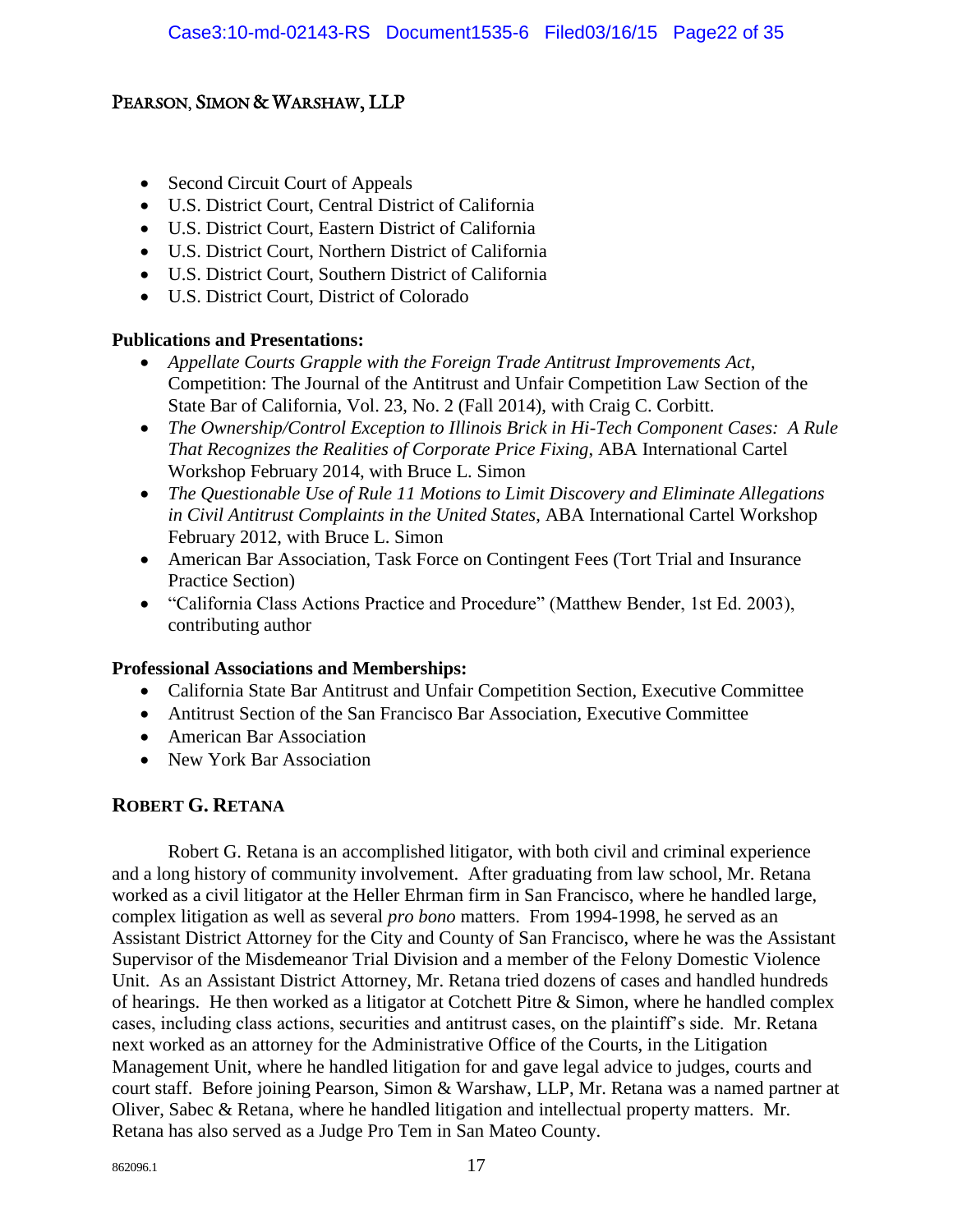- Second Circuit Court of Appeals
- U.S. District Court, Central District of California
- U.S. District Court, Eastern District of California
- U.S. District Court, Northern District of California
- U.S. District Court, Southern District of California
- U.S. District Court, District of Colorado

#### **Publications and Presentations:**

- *Appellate Courts Grapple with the Foreign Trade Antitrust Improvements Act*, Competition: The Journal of the Antitrust and Unfair Competition Law Section of the State Bar of California, Vol. 23, No. 2 (Fall 2014), with Craig C. Corbitt.
- *The Ownership/Control Exception to Illinois Brick in Hi-Tech Component Cases: A Rule That Recognizes the Realities of Corporate Price Fixing*, ABA International Cartel Workshop February 2014, with Bruce L. Simon
- *The Questionable Use of Rule 11 Motions to Limit Discovery and Eliminate Allegations in Civil Antitrust Complaints in the United States*, ABA International Cartel Workshop February 2012, with Bruce L. Simon
- American Bar Association, Task Force on Contingent Fees (Tort Trial and Insurance Practice Section)
- "California Class Actions Practice and Procedure" (Matthew Bender, 1st Ed. 2003), contributing author

#### **Professional Associations and Memberships:**

- California State Bar Antitrust and Unfair Competition Section, Executive Committee
- Antitrust Section of the San Francisco Bar Association, Executive Committee
- American Bar Association
- New York Bar Association

#### **ROBERT G. RETANA**

Robert G. Retana is an accomplished litigator, with both civil and criminal experience and a long history of community involvement. After graduating from law school, Mr. Retana worked as a civil litigator at the Heller Ehrman firm in San Francisco, where he handled large, complex litigation as well as several *pro bono* matters. From 1994-1998, he served as an Assistant District Attorney for the City and County of San Francisco, where he was the Assistant Supervisor of the Misdemeanor Trial Division and a member of the Felony Domestic Violence Unit. As an Assistant District Attorney, Mr. Retana tried dozens of cases and handled hundreds of hearings. He then worked as a litigator at Cotchett Pitre & Simon, where he handled complex cases, including class actions, securities and antitrust cases, on the plaintiff's side. Mr. Retana next worked as an attorney for the Administrative Office of the Courts, in the Litigation Management Unit, where he handled litigation for and gave legal advice to judges, courts and court staff. Before joining Pearson, Simon & Warshaw, LLP, Mr. Retana was a named partner at Oliver, Sabec & Retana, where he handled litigation and intellectual property matters. Mr. Retana has also served as a Judge Pro Tem in San Mateo County.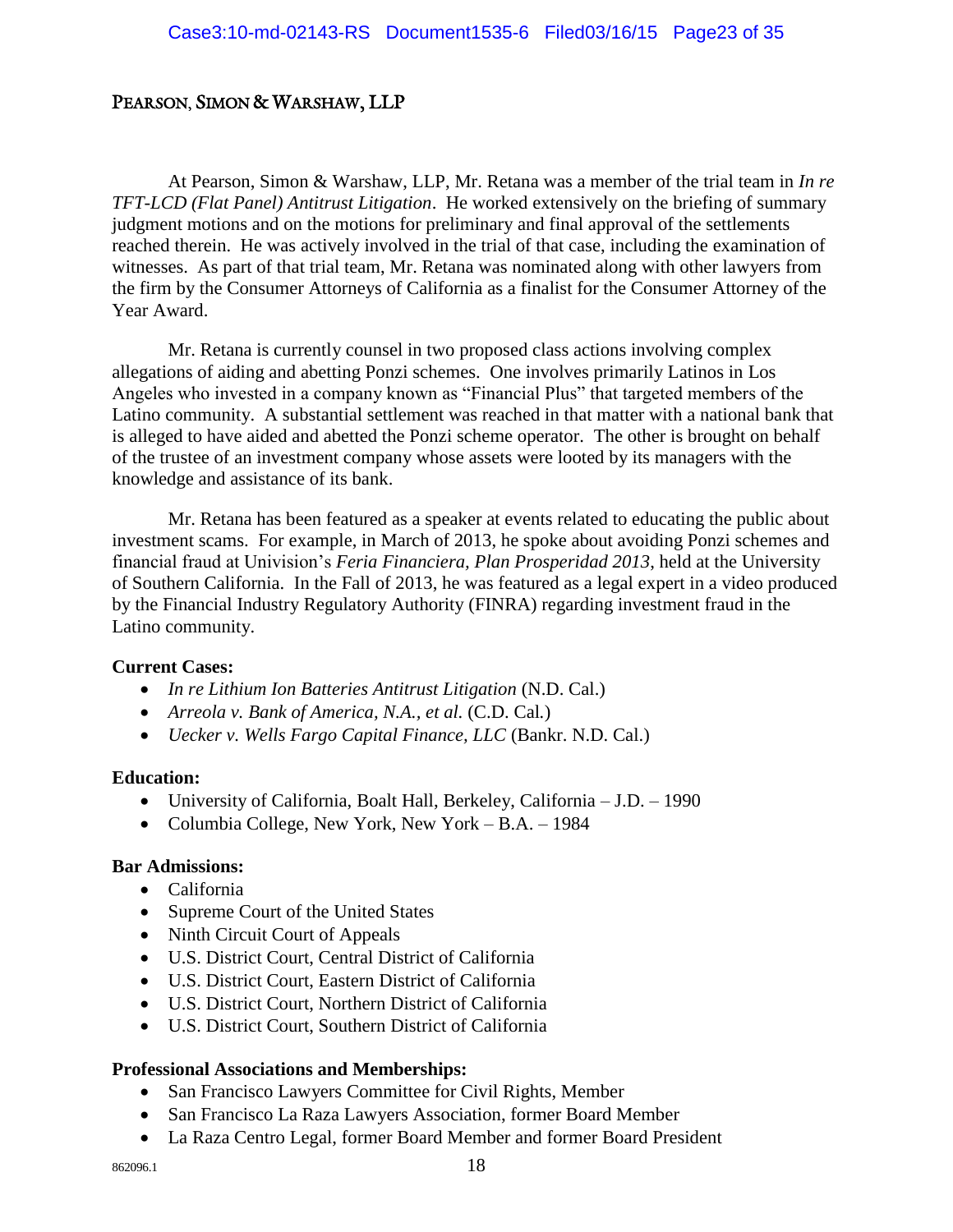At Pearson, Simon & Warshaw, LLP, Mr. Retana was a member of the trial team in *In re TFT-LCD (Flat Panel) Antitrust Litigation*. He worked extensively on the briefing of summary judgment motions and on the motions for preliminary and final approval of the settlements reached therein. He was actively involved in the trial of that case, including the examination of witnesses. As part of that trial team, Mr. Retana was nominated along with other lawyers from the firm by the Consumer Attorneys of California as a finalist for the Consumer Attorney of the Year Award.

Mr. Retana is currently counsel in two proposed class actions involving complex allegations of aiding and abetting Ponzi schemes. One involves primarily Latinos in Los Angeles who invested in a company known as "Financial Plus" that targeted members of the Latino community. A substantial settlement was reached in that matter with a national bank that is alleged to have aided and abetted the Ponzi scheme operator. The other is brought on behalf of the trustee of an investment company whose assets were looted by its managers with the knowledge and assistance of its bank.

Mr. Retana has been featured as a speaker at events related to educating the public about investment scams. For example, in March of 2013, he spoke about avoiding Ponzi schemes and financial fraud at Univision's *Feria Financiera, Plan Prosperidad 2013*, held at the University of Southern California. In the Fall of 2013, he was featured as a legal expert in a video produced by the Financial Industry Regulatory Authority (FINRA) regarding investment fraud in the Latino community.

#### **Current Cases:**

- *In re Lithium Ion Batteries Antitrust Litigation* (N.D. Cal.)
- *Arreola v. Bank of America, N.A., et al.* (C.D. Cal*.*)
- *Uecker v. Wells Fargo Capital Finance, LLC* (Bankr. N.D. Cal.)

#### **Education:**

- University of California, Boalt Hall, Berkeley, California J.D. 1990
- Columbia College, New York, New York B.A. 1984

#### **Bar Admissions:**

- California
- Supreme Court of the United States
- Ninth Circuit Court of Appeals
- U.S. District Court, Central District of California
- U.S. District Court, Eastern District of California
- U.S. District Court, Northern District of California
- U.S. District Court, Southern District of California

#### **Professional Associations and Memberships:**

- San Francisco Lawyers Committee for Civil Rights, Member
- San Francisco La Raza Lawyers Association, former Board Member
- La Raza Centro Legal, former Board Member and former Board President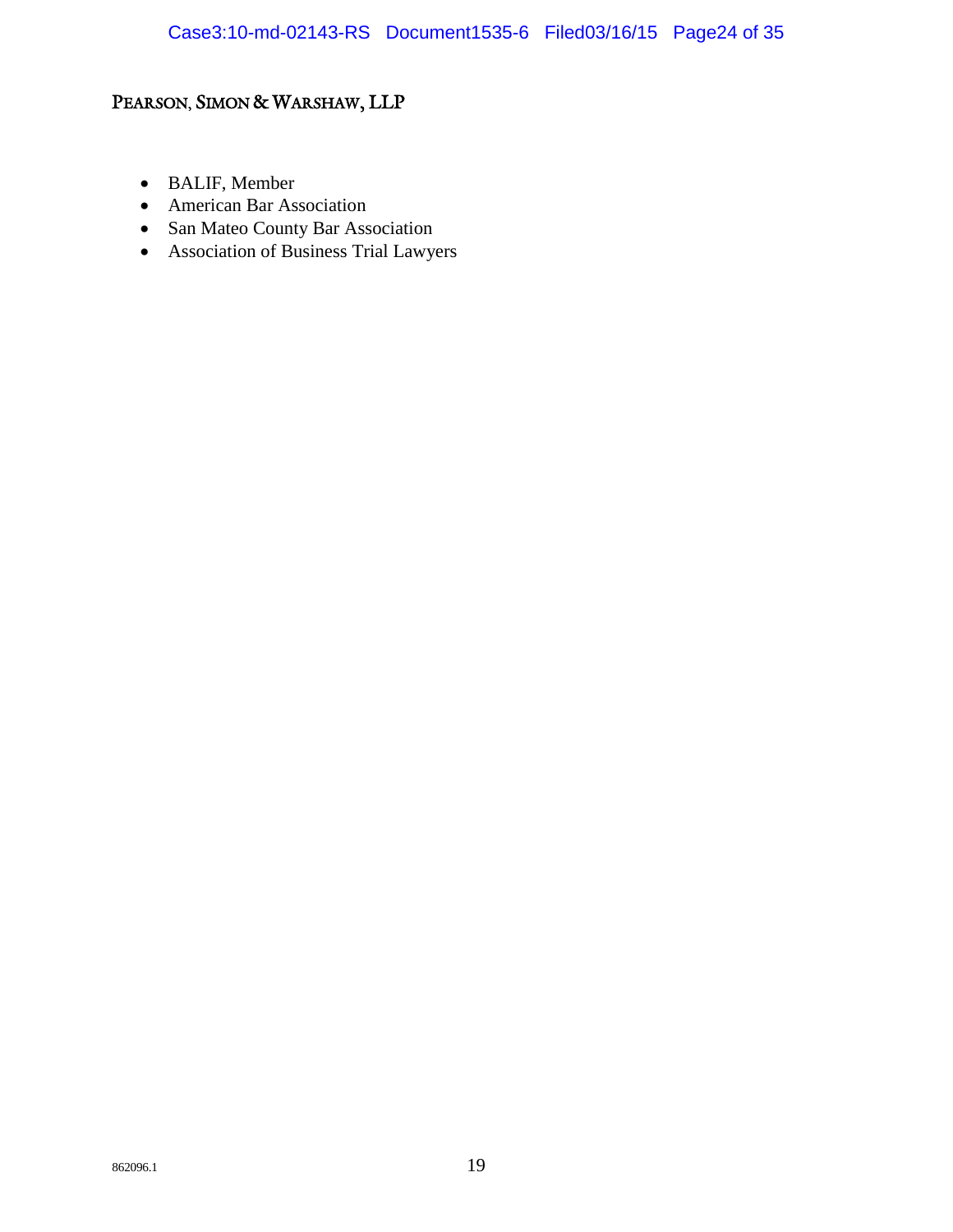- BALIF, Member
- American Bar Association
- San Mateo County Bar Association
- Association of Business Trial Lawyers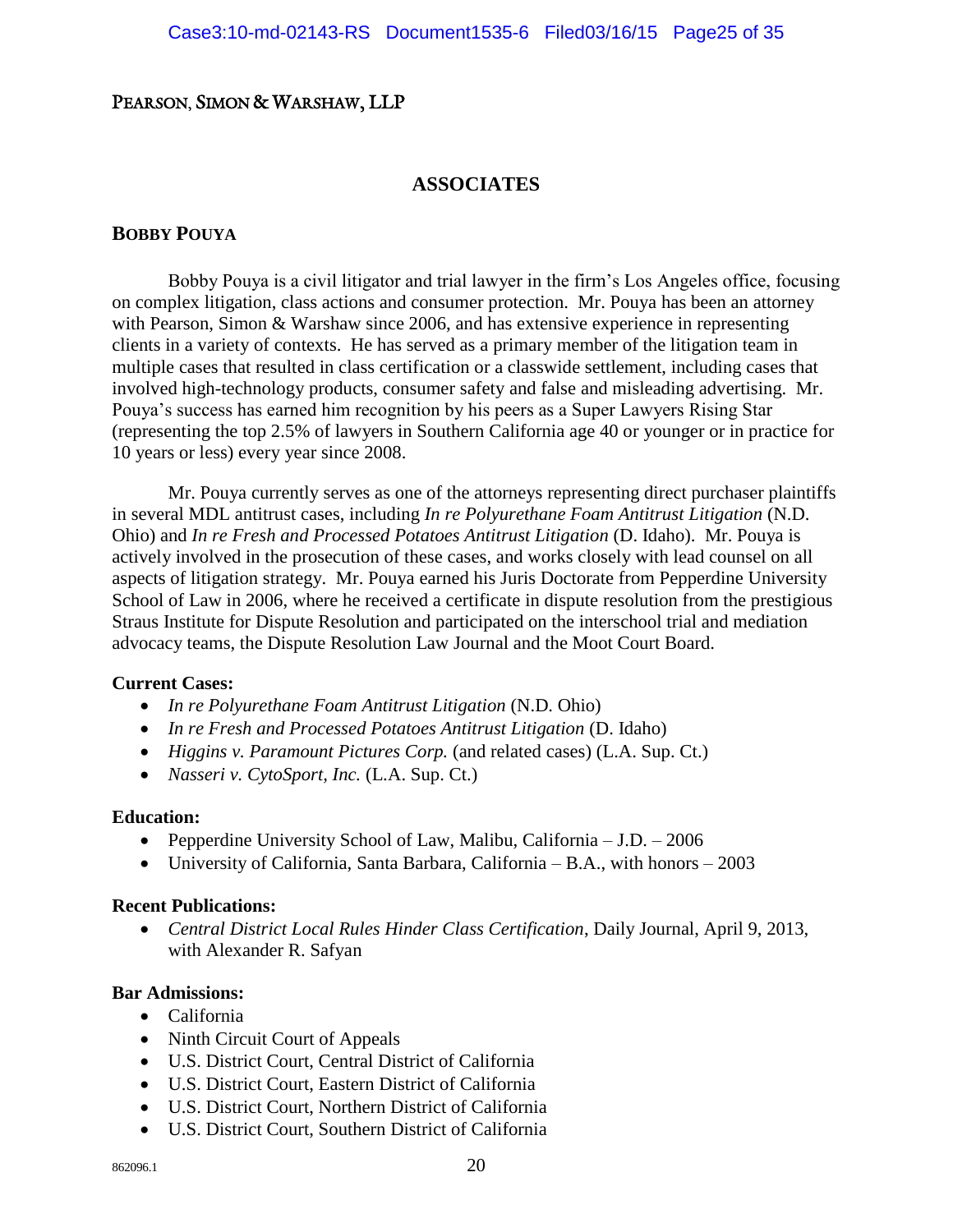#### **ASSOCIATES**

#### **BOBBY POUYA**

Bobby Pouya is a civil litigator and trial lawyer in the firm's Los Angeles office, focusing on complex litigation, class actions and consumer protection. Mr. Pouya has been an attorney with Pearson, Simon & Warshaw since 2006, and has extensive experience in representing clients in a variety of contexts. He has served as a primary member of the litigation team in multiple cases that resulted in class certification or a classwide settlement, including cases that involved high-technology products, consumer safety and false and misleading advertising. Mr. Pouya's success has earned him recognition by his peers as a Super Lawyers Rising Star (representing the top 2.5% of lawyers in Southern California age 40 or younger or in practice for 10 years or less) every year since 2008.

Mr. Pouya currently serves as one of the attorneys representing direct purchaser plaintiffs in several MDL antitrust cases, including *In re Polyurethane Foam Antitrust Litigation* (N.D. Ohio) and *In re Fresh and Processed Potatoes Antitrust Litigation* (D. Idaho). Mr. Pouya is actively involved in the prosecution of these cases, and works closely with lead counsel on all aspects of litigation strategy. Mr. Pouya earned his Juris Doctorate from Pepperdine University School of Law in 2006, where he received a certificate in dispute resolution from the prestigious Straus Institute for Dispute Resolution and participated on the interschool trial and mediation advocacy teams, the Dispute Resolution Law Journal and the Moot Court Board.

#### **Current Cases:**

- *In re Polyurethane Foam Antitrust Litigation* (N.D. Ohio)
- *In re Fresh and Processed Potatoes Antitrust Litigation* (D. Idaho)
- *Higgins v. Paramount Pictures Corp.* (and related cases) (L.A. Sup. Ct.)
- *Nasseri v. CytoSport, Inc.* (L.A. Sup. Ct.)

#### **Education:**

- Pepperdine University School of Law, Malibu, California J.D. 2006
- University of California, Santa Barbara, California B.A., with honors 2003

#### **Recent Publications:**

 *Central District Local Rules Hinder Class Certification*, Daily Journal, April 9, 2013, with Alexander R. Safyan

#### **Bar Admissions:**

- California
- Ninth Circuit Court of Appeals
- U.S. District Court, Central District of California
- U.S. District Court, Eastern District of California
- U.S. District Court, Northern District of California
- U.S. District Court, Southern District of California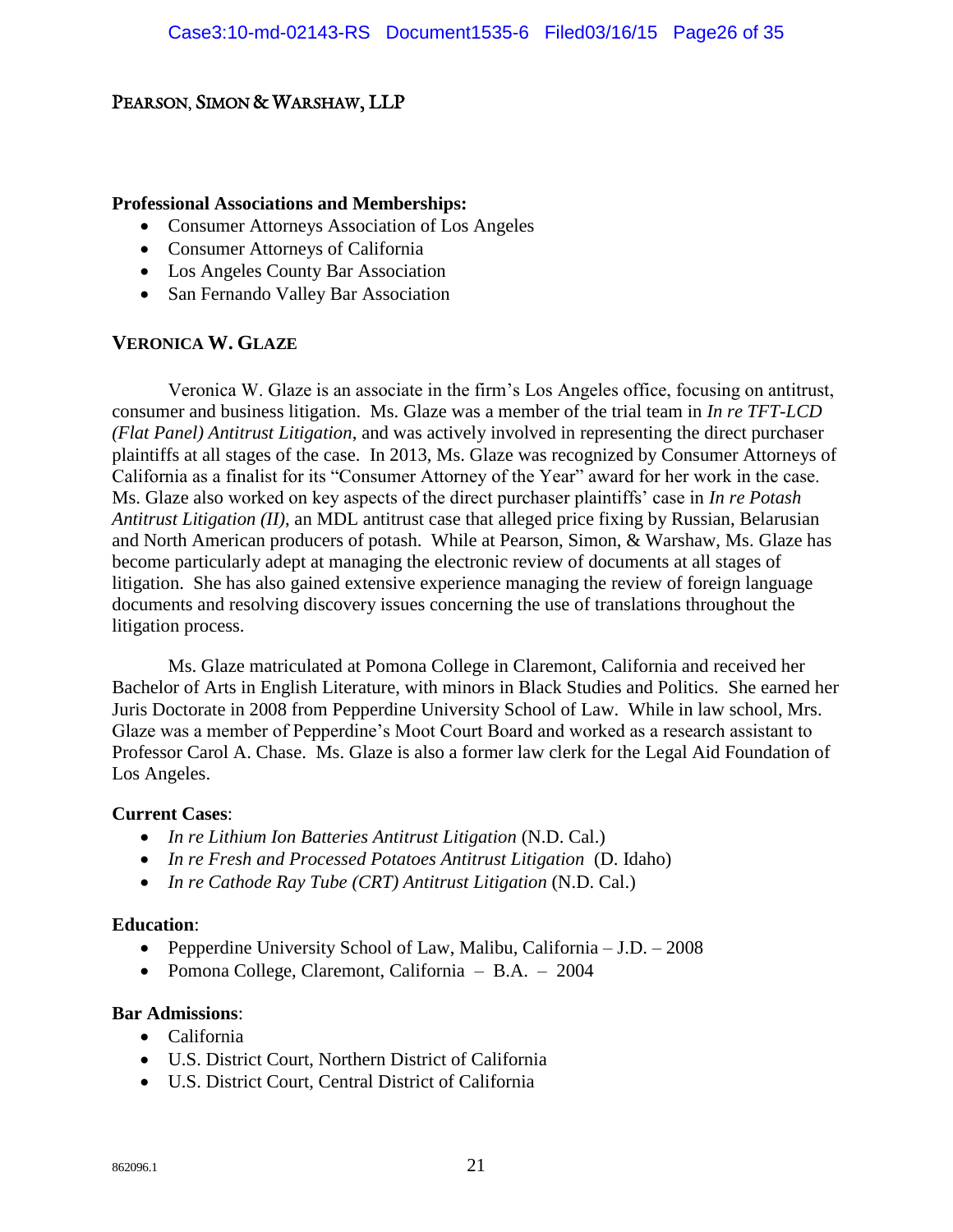#### **Professional Associations and Memberships:**

- Consumer Attorneys Association of Los Angeles
- Consumer Attorneys of California
- Los Angeles County Bar Association
- San Fernando Valley Bar Association

#### **VERONICA W. GLAZE**

Veronica W. Glaze is an associate in the firm's Los Angeles office, focusing on antitrust, consumer and business litigation. Ms. Glaze was a member of the trial team in *In re TFT-LCD (Flat Panel) Antitrust Litigation*, and was actively involved in representing the direct purchaser plaintiffs at all stages of the case. In 2013, Ms. Glaze was recognized by Consumer Attorneys of California as a finalist for its "Consumer Attorney of the Year" award for her work in the case. Ms. Glaze also worked on key aspects of the direct purchaser plaintiffs' case in *In re Potash Antitrust Litigation (II)*, an MDL antitrust case that alleged price fixing by Russian, Belarusian and North American producers of potash. While at Pearson, Simon, & Warshaw, Ms. Glaze has become particularly adept at managing the electronic review of documents at all stages of litigation. She has also gained extensive experience managing the review of foreign language documents and resolving discovery issues concerning the use of translations throughout the litigation process.

Ms. Glaze matriculated at Pomona College in Claremont, California and received her Bachelor of Arts in English Literature, with minors in Black Studies and Politics. She earned her Juris Doctorate in 2008 from Pepperdine University School of Law. While in law school, Mrs. Glaze was a member of Pepperdine's Moot Court Board and worked as a research assistant to Professor Carol A. Chase. Ms. Glaze is also a former law clerk for the Legal Aid Foundation of Los Angeles.

#### **Current Cases**:

- *In re Lithium Ion Batteries Antitrust Litigation* (N.D. Cal.)
- In re Fresh and Processed Potatoes Antitrust Litigation (D. Idaho)
- *In re Cathode Ray Tube (CRT) Antitrust Litigation* (N.D. Cal.)

#### **Education**:

- Pepperdine University School of Law, Malibu, California J.D. 2008
- Pomona College, Claremont, California B.A. 2004

#### **Bar Admissions**:

- California
- U.S. District Court, Northern District of California
- U.S. District Court, Central District of California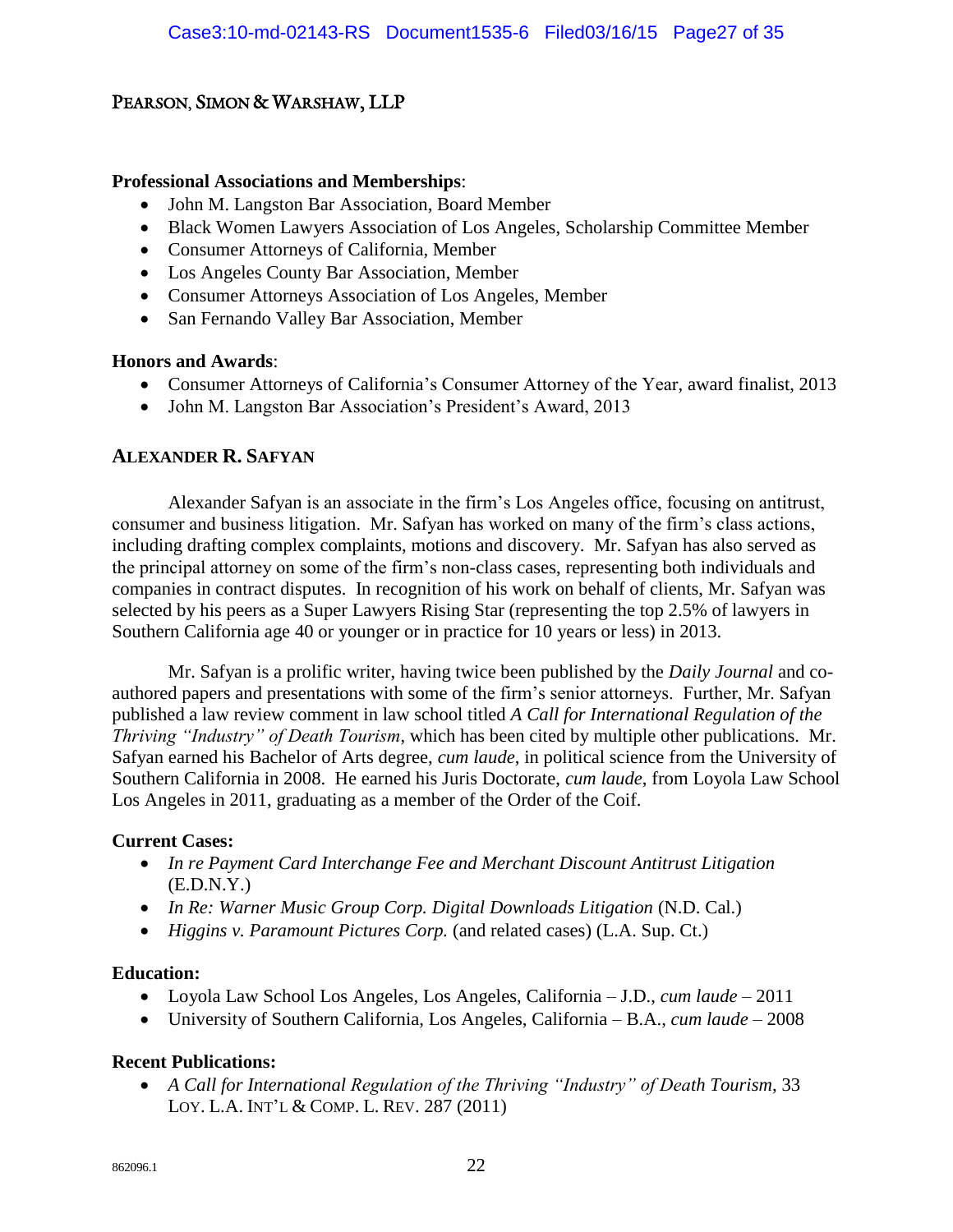#### **Professional Associations and Memberships**:

- John M. Langston Bar Association, Board Member
- Black Women Lawyers Association of Los Angeles, Scholarship Committee Member
- Consumer Attorneys of California, Member
- Los Angeles County Bar Association, Member
- Consumer Attorneys Association of Los Angeles, Member
- San Fernando Valley Bar Association, Member

#### **Honors and Awards**:

- Consumer Attorneys of California's Consumer Attorney of the Year, award finalist, 2013
- John M. Langston Bar Association's President's Award, 2013

#### **ALEXANDER R. SAFYAN**

Alexander Safyan is an associate in the firm's Los Angeles office, focusing on antitrust, consumer and business litigation. Mr. Safyan has worked on many of the firm's class actions, including drafting complex complaints, motions and discovery. Mr. Safyan has also served as the principal attorney on some of the firm's non-class cases, representing both individuals and companies in contract disputes. In recognition of his work on behalf of clients, Mr. Safyan was selected by his peers as a Super Lawyers Rising Star (representing the top 2.5% of lawyers in Southern California age 40 or younger or in practice for 10 years or less) in 2013.

Mr. Safyan is a prolific writer, having twice been published by the *Daily Journal* and coauthored papers and presentations with some of the firm's senior attorneys. Further, Mr. Safyan published a law review comment in law school titled *A Call for International Regulation of the Thriving "Industry" of Death Tourism*, which has been cited by multiple other publications. Mr. Safyan earned his Bachelor of Arts degree, *cum laude*, in political science from the University of Southern California in 2008. He earned his Juris Doctorate, *cum laude*, from Loyola Law School Los Angeles in 2011, graduating as a member of the Order of the Coif.

#### **Current Cases:**

- *In re Payment Card Interchange Fee and Merchant Discount Antitrust Litigation*  (E.D.N.Y.)
- In Re: Warner Music Group Corp. Digital Downloads Litigation (N.D. Cal.)
- *Higgins v. Paramount Pictures Corp.* (and related cases) (L.A. Sup. Ct.)

#### **Education:**

- Loyola Law School Los Angeles, Los Angeles, California J.D., *cum laude* 2011
- University of Southern California, Los Angeles, California B.A., *cum laude*  2008

#### **Recent Publications:**

 *A Call for International Regulation of the Thriving "Industry" of Death Tourism*, 33 LOY. L.A. INT'L & COMP. L. REV. 287 (2011)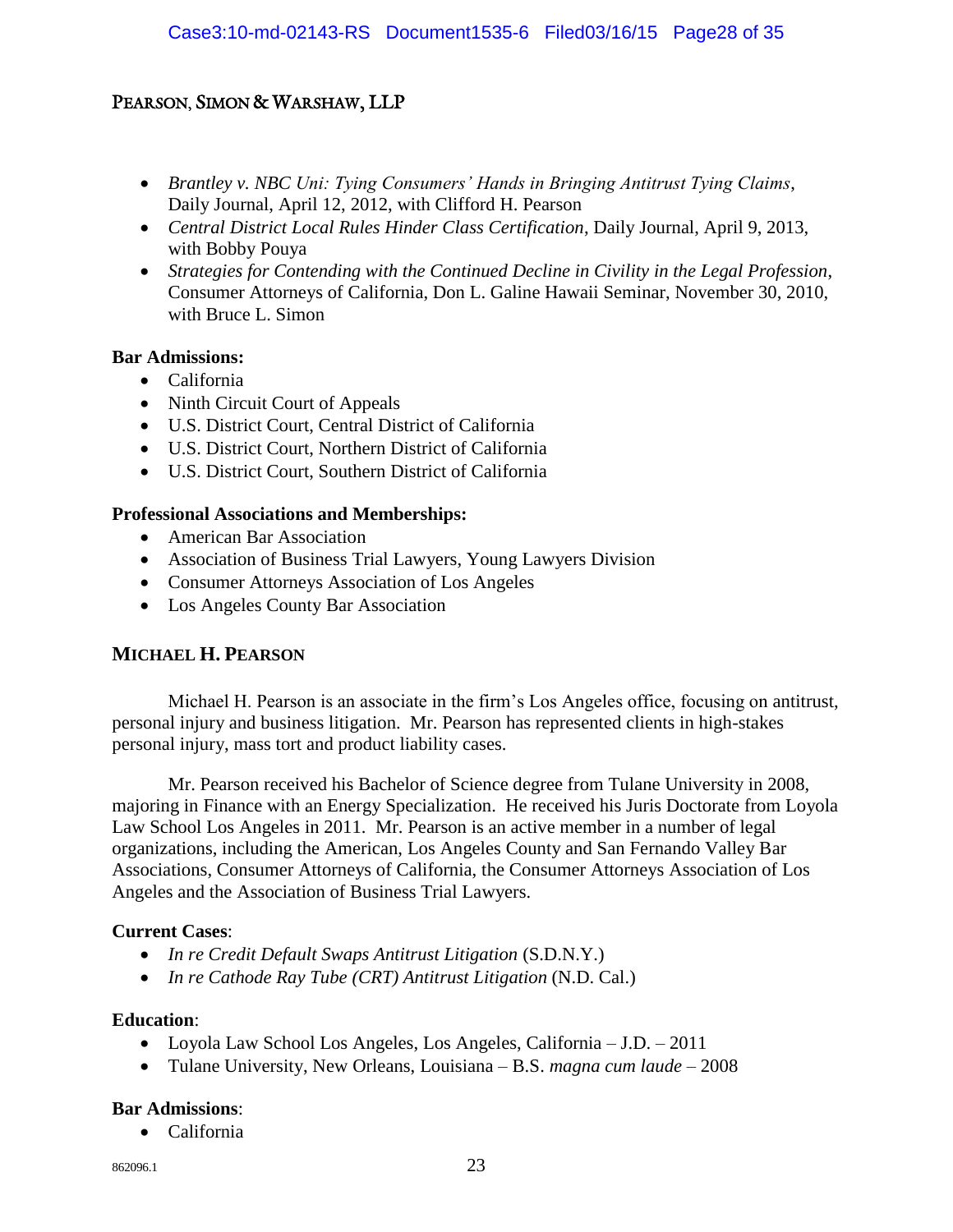- *Brantley v. NBC Uni: Tying Consumers' Hands in Bringing Antitrust Tying Claims*, Daily Journal, April 12, 2012, with Clifford H. Pearson
- *Central District Local Rules Hinder Class Certification*, Daily Journal, April 9, 2013, with Bobby Pouya
- *Strategies for Contending with the Continued Decline in Civility in the Legal Profession*, Consumer Attorneys of California, Don L. Galine Hawaii Seminar, November 30, 2010, with Bruce L. Simon

#### **Bar Admissions:**

- California
- Ninth Circuit Court of Appeals
- U.S. District Court, Central District of California
- U.S. District Court, Northern District of California
- U.S. District Court, Southern District of California

#### **Professional Associations and Memberships:**

- American Bar Association
- Association of Business Trial Lawyers, Young Lawyers Division
- Consumer Attorneys Association of Los Angeles
- Los Angeles County Bar Association

#### **MICHAEL H. PEARSON**

Michael H. Pearson is an associate in the firm's Los Angeles office, focusing on antitrust, personal injury and business litigation. Mr. Pearson has represented clients in high-stakes personal injury, mass tort and product liability cases.

Mr. Pearson received his Bachelor of Science degree from Tulane University in 2008, majoring in Finance with an Energy Specialization. He received his Juris Doctorate from Loyola Law School Los Angeles in 2011. Mr. Pearson is an active member in a number of legal organizations, including the American, Los Angeles County and San Fernando Valley Bar Associations, Consumer Attorneys of California, the Consumer Attorneys Association of Los Angeles and the Association of Business Trial Lawyers.

#### **Current Cases**:

- *In re Credit Default Swaps Antitrust Litigation* (S.D.N.Y.)
- *In re Cathode Ray Tube (CRT) Antitrust Litigation* (N.D. Cal.)

#### **Education**:

- Loyola Law School Los Angeles, Los Angeles, California J.D. 2011
- Tulane University, New Orleans, Louisiana B.S. *magna cum laude*  2008

#### **Bar Admissions**:

California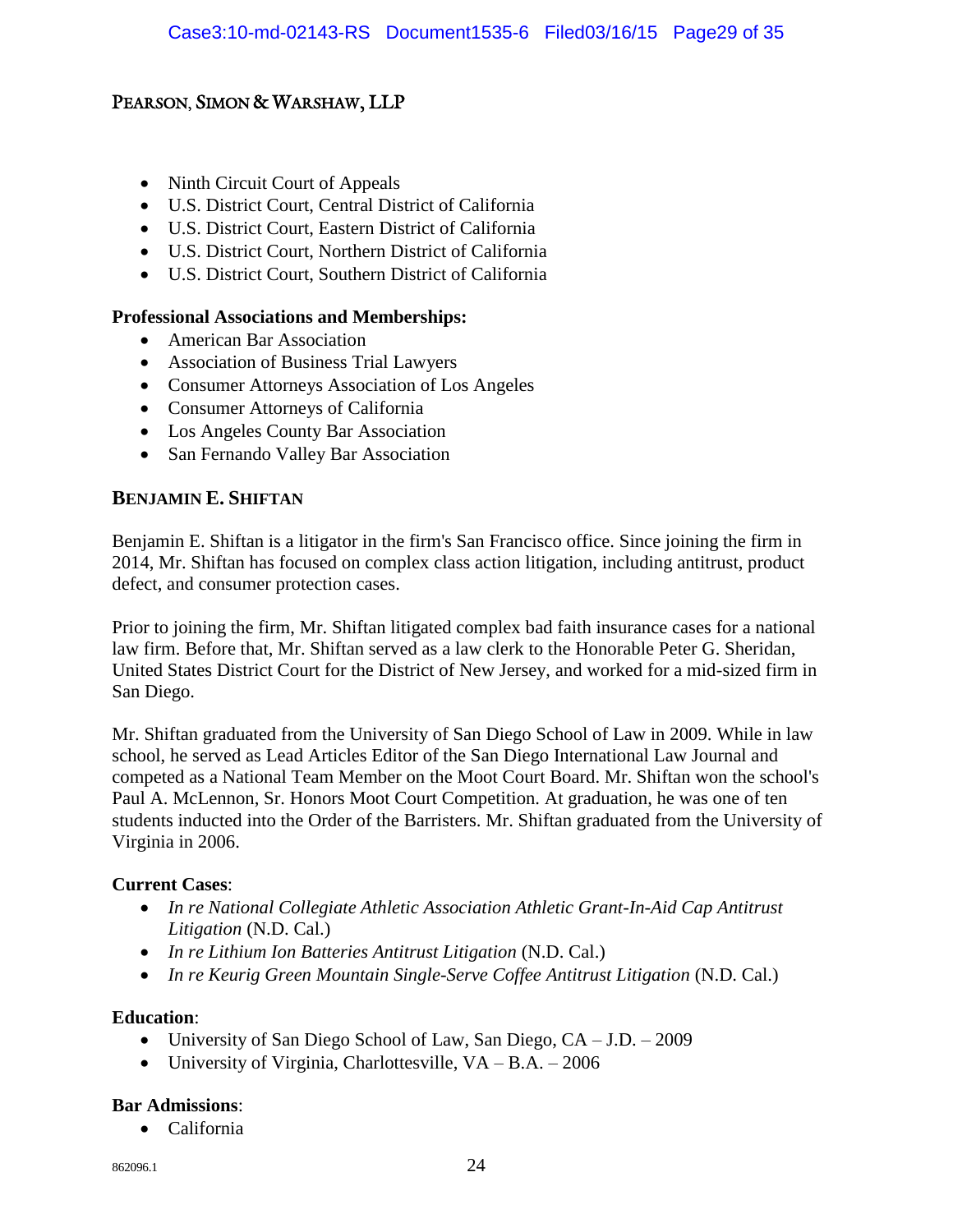- Ninth Circuit Court of Appeals
- U.S. District Court, Central District of California
- U.S. District Court, Eastern District of California
- U.S. District Court, Northern District of California
- U.S. District Court, Southern District of California

#### **Professional Associations and Memberships:**

- American Bar Association
- Association of Business Trial Lawyers
- Consumer Attorneys Association of Los Angeles
- Consumer Attorneys of California
- Los Angeles County Bar Association
- San Fernando Valley Bar Association

#### **BENJAMIN E. SHIFTAN**

Benjamin E. Shiftan is a litigator in the firm's San Francisco office. Since joining the firm in 2014, Mr. Shiftan has focused on complex class action litigation, including antitrust, product defect, and consumer protection cases.

Prior to joining the firm, Mr. Shiftan litigated complex bad faith insurance cases for a national law firm. Before that, Mr. Shiftan served as a law clerk to the Honorable Peter G. Sheridan, United States District Court for the District of New Jersey, and worked for a mid-sized firm in San Diego.

Mr. Shiftan graduated from the University of San Diego School of Law in 2009. While in law school, he served as Lead Articles Editor of the San Diego International Law Journal and competed as a National Team Member on the Moot Court Board. Mr. Shiftan won the school's Paul A. McLennon, Sr. Honors Moot Court Competition. At graduation, he was one of ten students inducted into the Order of the Barristers. Mr. Shiftan graduated from the University of Virginia in 2006.

#### **Current Cases**:

- *In re National Collegiate Athletic Association Athletic Grant-In-Aid Cap Antitrust Litigation* (N.D. Cal.)
- *In re Lithium Ion Batteries Antitrust Litigation* (N.D. Cal.)
- *In re Keurig Green Mountain Single-Serve Coffee Antitrust Litigation* (N.D. Cal.)

#### **Education**:

- University of San Diego School of Law, San Diego, CA J.D. 2009
- University of Virginia, Charlottesville,  $VA B.A. 2006$

#### **Bar Admissions**:

California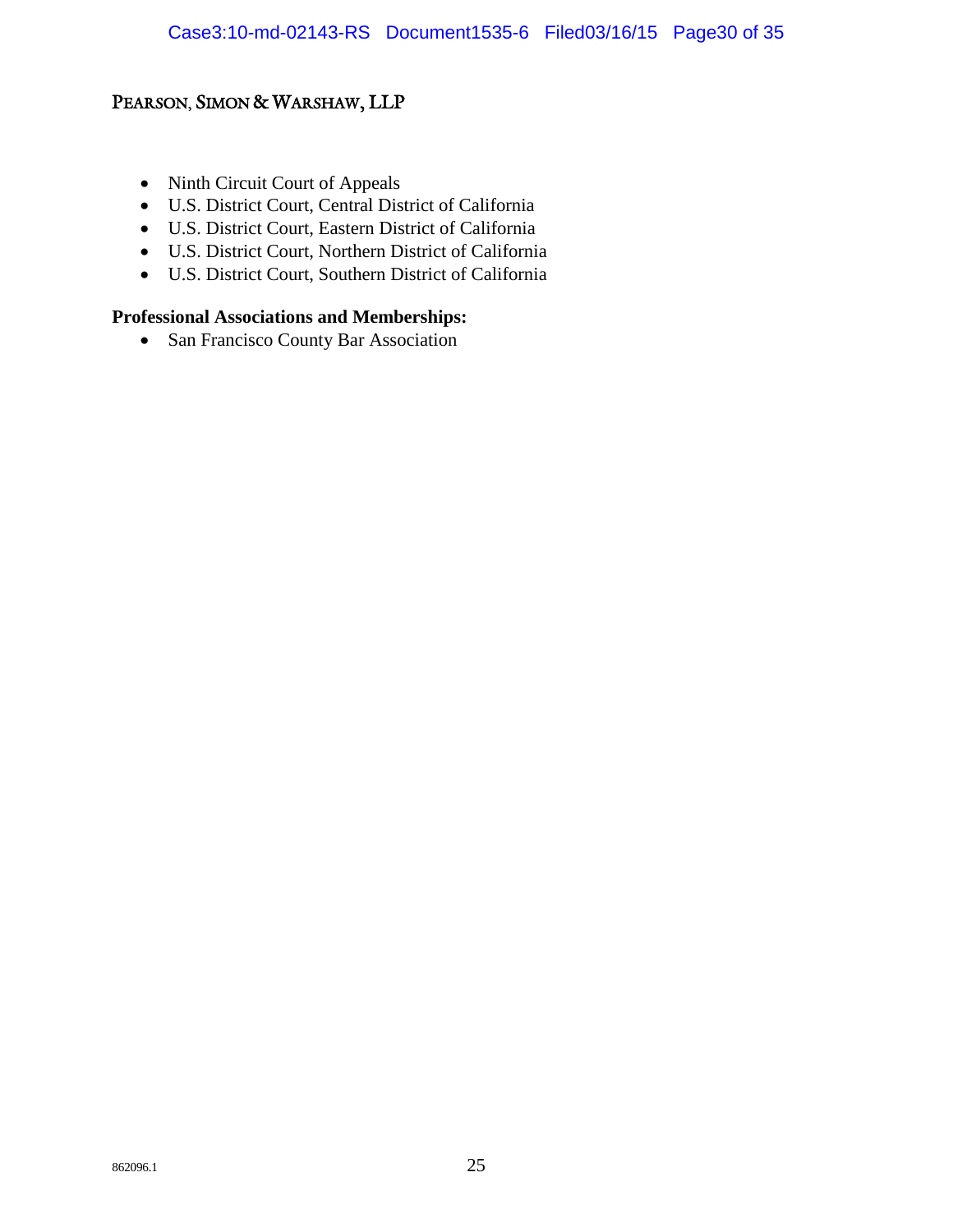- Ninth Circuit Court of Appeals
- U.S. District Court, Central District of California
- U.S. District Court, Eastern District of California
- U.S. District Court, Northern District of California
- U.S. District Court, Southern District of California

#### **Professional Associations and Memberships:**

• San Francisco County Bar Association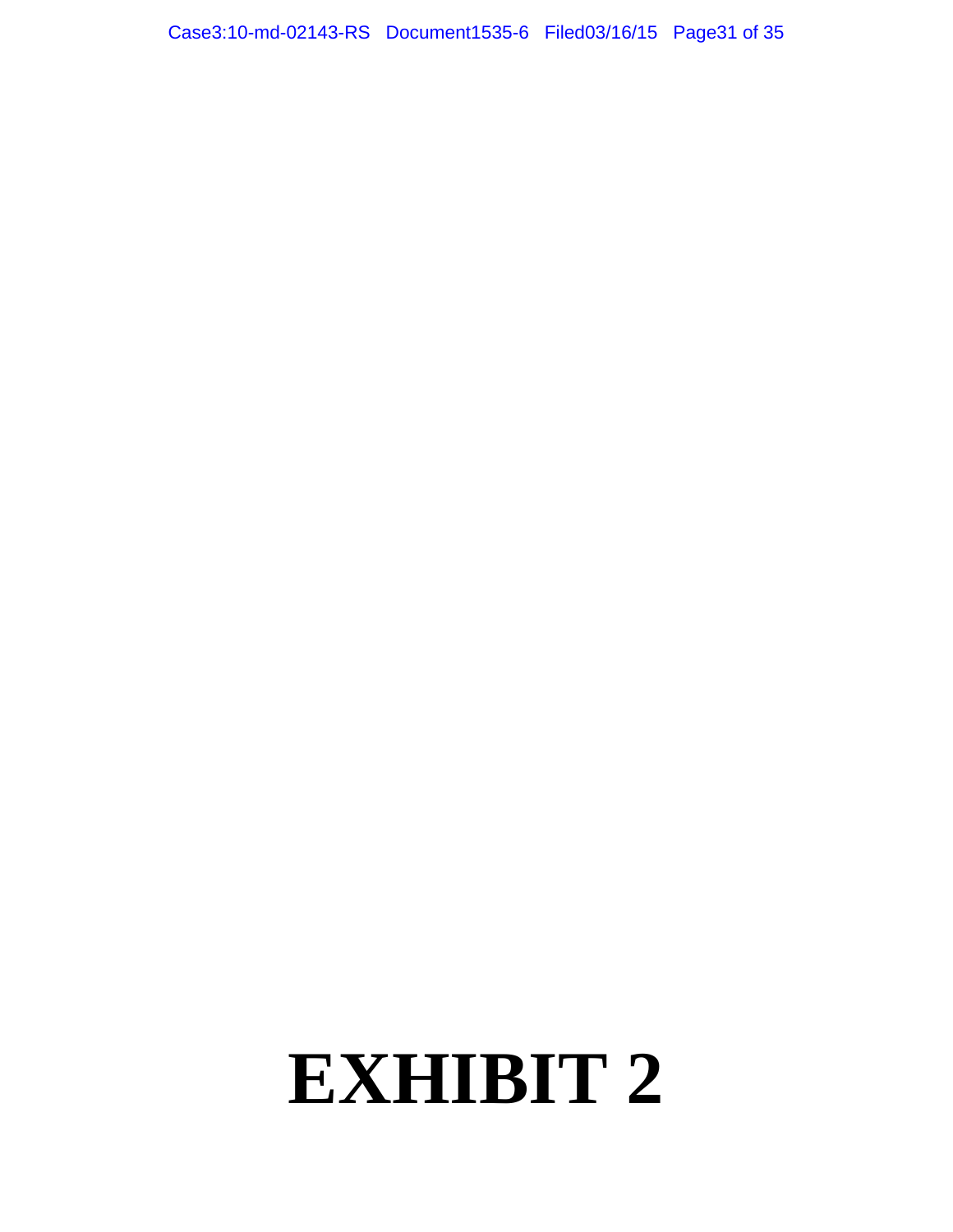Case3:10-md-02143-RS Document1535-6 Filed03/16/15 Page31 of 35

# **EXHIBIT 2**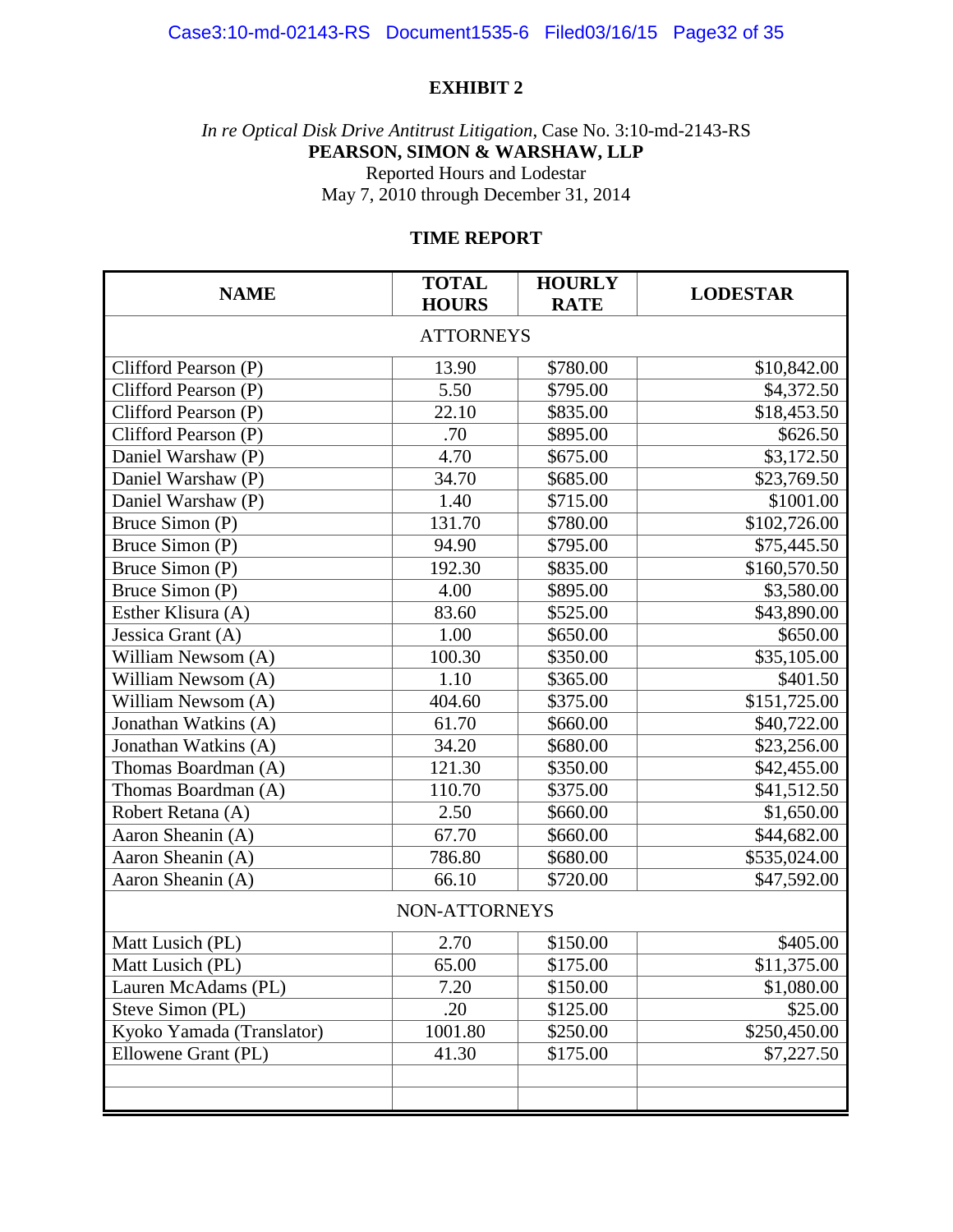#### **EXHIBIT 2**

*In re Optical Disk Drive Antitrust Litigation*, Case No. 3:10-md-2143-RS **PEARSON, SIMON & WARSHAW, LLP** Reported Hours and Lodestar May 7, 2010 through December 31, 2014

#### **TIME REPORT**

| <b>NAME</b>               | <b>TOTAL</b><br><b>HOURS</b> | <b>HOURLY</b><br><b>RATE</b> | <b>LODESTAR</b> |  |  |  |  |
|---------------------------|------------------------------|------------------------------|-----------------|--|--|--|--|
| <b>ATTORNEYS</b>          |                              |                              |                 |  |  |  |  |
| Clifford Pearson (P)      | 13.90                        | \$780.00                     | \$10,842.00     |  |  |  |  |
| Clifford Pearson (P)      | 5.50                         | \$795.00                     | \$4,372.50      |  |  |  |  |
| Clifford Pearson (P)      | 22.10                        | \$835.00                     | \$18,453.50     |  |  |  |  |
| Clifford Pearson (P)      | .70                          | \$895.00                     | \$626.50        |  |  |  |  |
| Daniel Warshaw (P)        | 4.70                         | \$675.00                     | \$3,172.50      |  |  |  |  |
| Daniel Warshaw (P)        | 34.70                        | \$685.00                     | \$23,769.50     |  |  |  |  |
| Daniel Warshaw (P)        | 1.40                         | \$715.00                     | \$1001.00       |  |  |  |  |
| Bruce Simon (P)           | 131.70                       | \$780.00                     | \$102,726.00    |  |  |  |  |
| Bruce Simon (P)           | 94.90                        | \$795.00                     | \$75,445.50     |  |  |  |  |
| Bruce Simon (P)           | 192.30                       | \$835.00                     | \$160,570.50    |  |  |  |  |
| Bruce Simon (P)           | 4.00                         | \$895.00                     | \$3,580.00      |  |  |  |  |
| Esther Klisura (A)        | 83.60                        | \$525.00                     | \$43,890.00     |  |  |  |  |
| Jessica Grant (A)         | 1.00                         | \$650.00                     | \$650.00        |  |  |  |  |
| William Newsom (A)        | 100.30                       | \$350.00                     | \$35,105.00     |  |  |  |  |
| William Newsom (A)        | 1.10                         | \$365.00                     | \$401.50        |  |  |  |  |
| William Newsom (A)        | 404.60                       | \$375.00                     | \$151,725.00    |  |  |  |  |
| Jonathan Watkins (A)      | 61.70                        | \$660.00                     | \$40,722.00     |  |  |  |  |
| Jonathan Watkins (A)      | 34.20                        | \$680.00                     | \$23,256.00     |  |  |  |  |
| Thomas Boardman (A)       | 121.30                       | \$350.00                     | \$42,455.00     |  |  |  |  |
| Thomas Boardman (A)       | 110.70                       | \$375.00                     | \$41,512.50     |  |  |  |  |
| Robert Retana (A)         | 2.50                         | \$660.00                     | \$1,650.00      |  |  |  |  |
| Aaron Sheanin (A)         | 67.70                        | \$660.00                     | \$44,682.00     |  |  |  |  |
| Aaron Sheanin (A)         | 786.80                       | \$680.00                     | \$535,024.00    |  |  |  |  |
| Aaron Sheanin (A)         | 66.10                        | \$720.00                     | \$47,592.00     |  |  |  |  |
| NON-ATTORNEYS             |                              |                              |                 |  |  |  |  |
| Matt Lusich (PL)          | 2.70                         | \$150.00                     | \$405.00        |  |  |  |  |
| Matt Lusich (PL)          | 65.00                        | \$175.00                     | \$11,375.00     |  |  |  |  |
| Lauren McAdams (PL)       | 7.20                         | \$150.00                     | \$1,080.00      |  |  |  |  |
| Steve Simon (PL)          | .20                          | \$125.00                     | \$25.00         |  |  |  |  |
| Kyoko Yamada (Translator) | 1001.80                      | \$250.00                     | \$250,450.00    |  |  |  |  |
| Ellowene Grant (PL)       | 41.30                        | \$175.00                     | \$7,227.50      |  |  |  |  |
|                           |                              |                              |                 |  |  |  |  |
|                           |                              |                              |                 |  |  |  |  |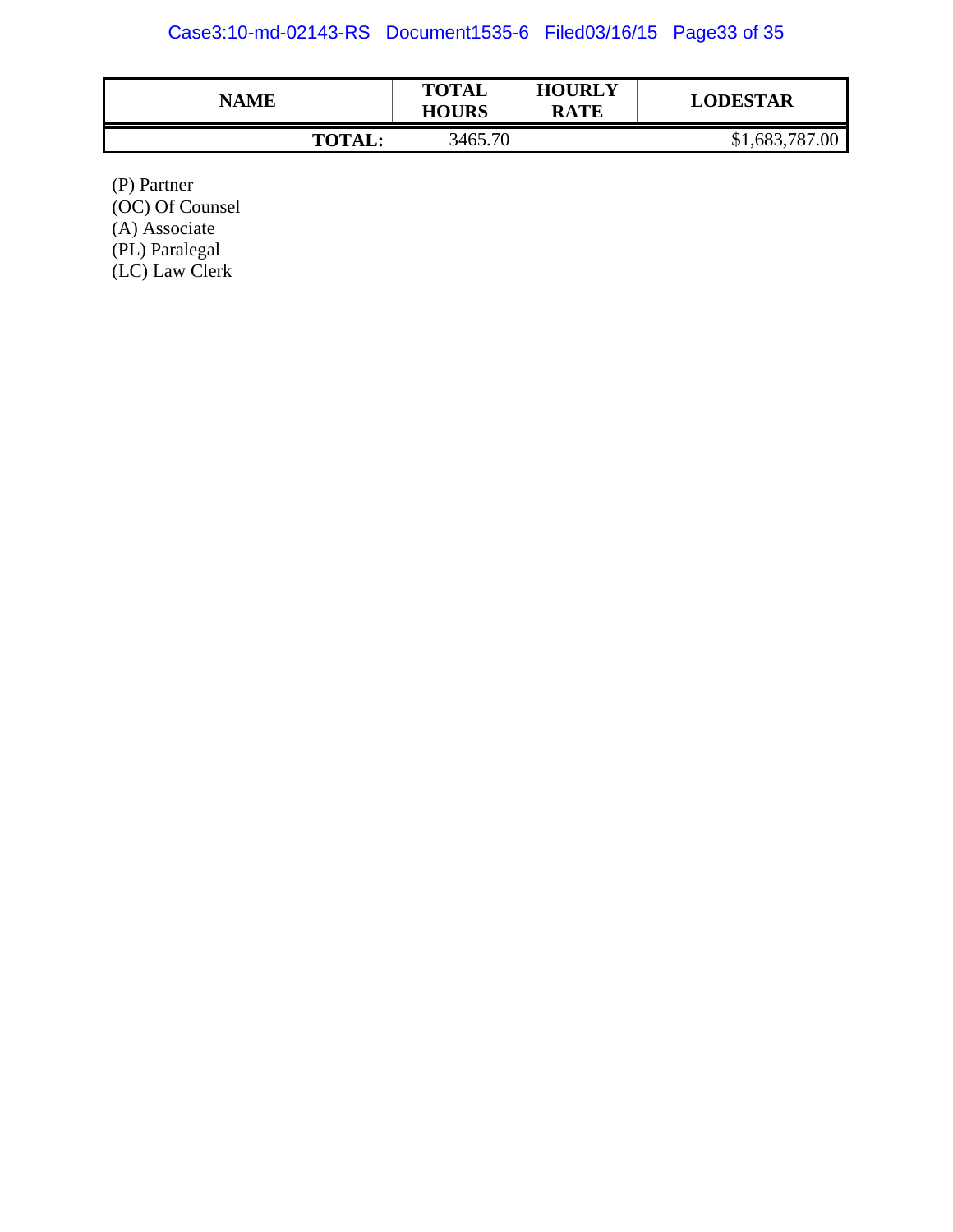#### Case3:10-md-02143-RS Document1535-6 Filed03/16/15 Page33 of 35

| <b>NAME</b>   | <b>TOTAL</b><br><b>HOURS</b> | <b>HOURLY</b><br><b>RATE</b> | <b>LODESTAR</b> |
|---------------|------------------------------|------------------------------|-----------------|
| <b>TOTAL:</b> | 3465.70                      |                              | \$1,683,787.00  |

(P) Partner

(OC) Of Counsel

(A) Associate

(PL) Paralegal

(LC) Law Clerk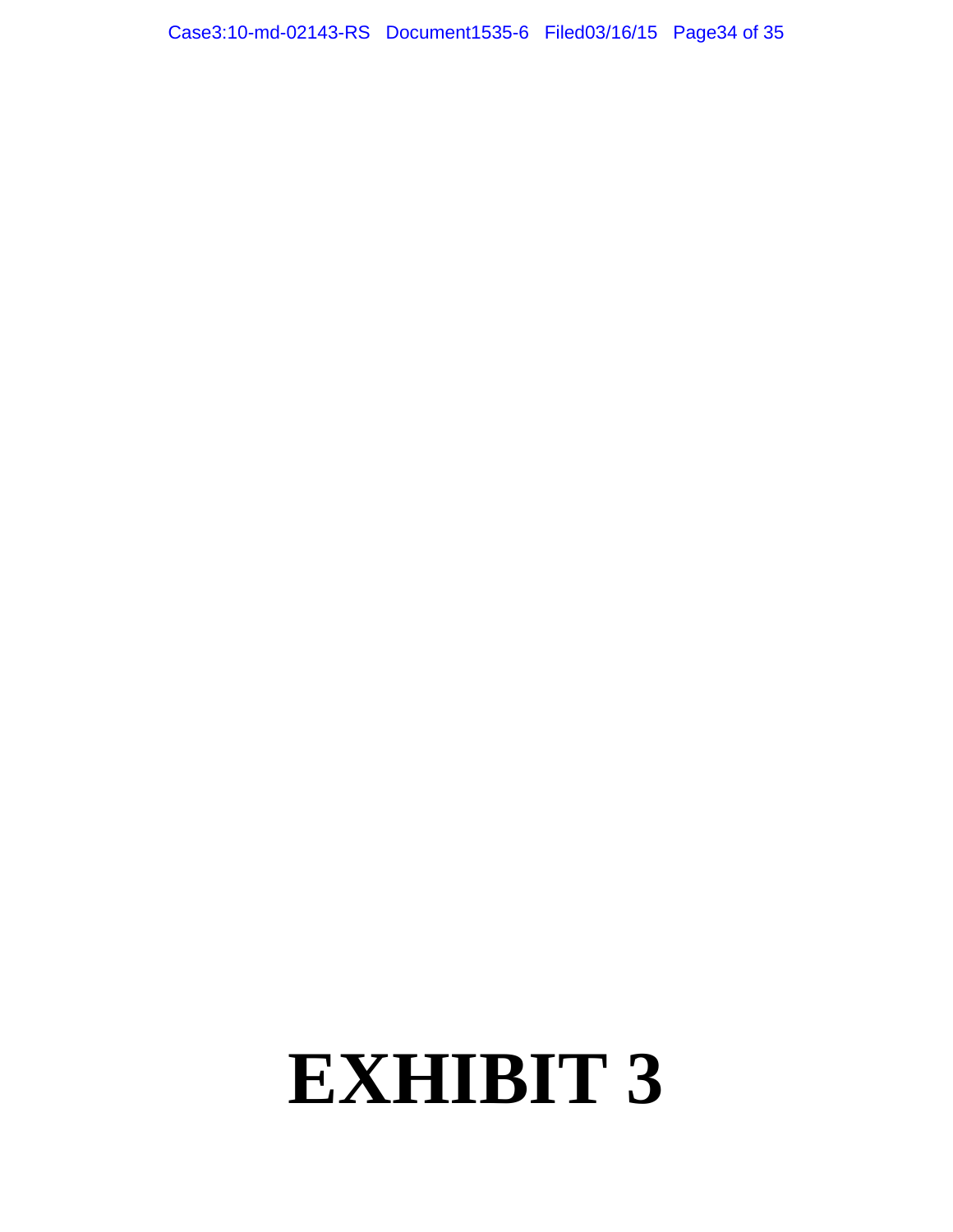Case3:10-md-02143-RS Document1535-6 Filed03/16/15 Page34 of 35

## **EXHIBIT 3**